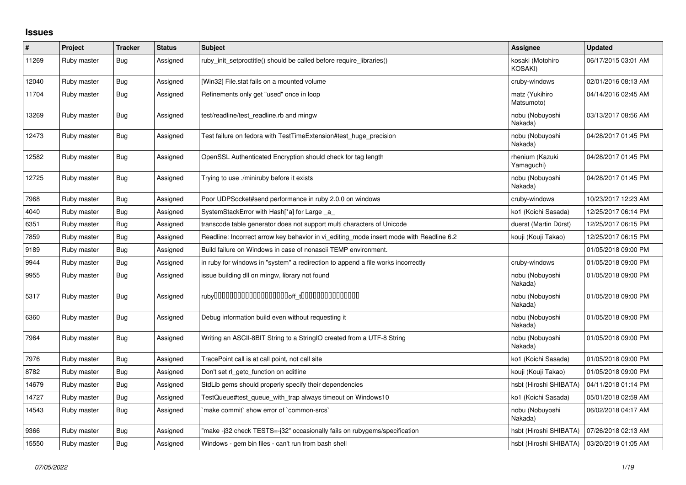## **Issues**

| $\vert$ # | Project     | <b>Tracker</b> | <b>Status</b> | <b>Subject</b>                                                                          | <b>Assignee</b>                              | <b>Updated</b>      |
|-----------|-------------|----------------|---------------|-----------------------------------------------------------------------------------------|----------------------------------------------|---------------------|
| 11269     | Ruby master | Bug            | Assigned      | ruby_init_setproctitle() should be called before require_libraries()                    | kosaki (Motohiro<br>KOSAKI)                  | 06/17/2015 03:01 AM |
| 12040     | Ruby master | Bug            | Assigned      | [Win32] File.stat fails on a mounted volume                                             | cruby-windows                                | 02/01/2016 08:13 AM |
| 11704     | Ruby master | Bug            | Assigned      | Refinements only get "used" once in loop                                                | matz (Yukihiro<br>Matsumoto)                 | 04/14/2016 02:45 AM |
| 13269     | Ruby master | Bug            | Assigned      | test/readline/test readline.rb and mingw                                                | nobu (Nobuyoshi<br>Nakada)                   | 03/13/2017 08:56 AM |
| 12473     | Ruby master | Bug            | Assigned      | Test failure on fedora with TestTimeExtension#test huge precision                       | nobu (Nobuyoshi<br>Nakada)                   | 04/28/2017 01:45 PM |
| 12582     | Ruby master | <b>Bug</b>     | Assigned      | OpenSSL Authenticated Encryption should check for tag length                            | rhenium (Kazuki<br>Yamaguchi)                | 04/28/2017 01:45 PM |
| 12725     | Ruby master | Bug            | Assigned      | Trying to use ./miniruby before it exists                                               | nobu (Nobuyoshi<br>Nakada)                   | 04/28/2017 01:45 PM |
| 7968      | Ruby master | Bug            | Assigned      | Poor UDPSocket#send performance in ruby 2.0.0 on windows                                | cruby-windows                                | 10/23/2017 12:23 AM |
| 4040      | Ruby master | Bug            | Assigned      | SystemStackError with Hash[*a] for Large a                                              | ko1 (Koichi Sasada)                          | 12/25/2017 06:14 PM |
| 6351      | Ruby master | <b>Bug</b>     | Assigned      | transcode table generator does not support multi characters of Unicode                  | duerst (Martin Dürst)                        | 12/25/2017 06:15 PM |
| 7859      | Ruby master | Bug            | Assigned      | Readline: Incorrect arrow key behavior in vi_editing_mode insert mode with Readline 6.2 | kouji (Kouji Takao)                          | 12/25/2017 06:15 PM |
| 9189      | Ruby master | Bug            | Assigned      | Build failure on Windows in case of nonascii TEMP environment.                          |                                              | 01/05/2018 09:00 PM |
| 9944      | Ruby master | <b>Bug</b>     | Assigned      | in ruby for windows in "system" a redirection to append a file works incorrectly        | cruby-windows                                | 01/05/2018 09:00 PM |
| 9955      | Ruby master | Bug            | Assigned      | issue building dll on mingw, library not found                                          | nobu (Nobuyoshi<br>Nakada)                   | 01/05/2018 09:00 PM |
| 5317      | Ruby master | Bug            | Assigned      |                                                                                         | nobu (Nobuyoshi<br>Nakada)                   | 01/05/2018 09:00 PM |
| 6360      | Ruby master | Bug            | Assigned      | Debug information build even without requesting it                                      | nobu (Nobuyoshi<br>Nakada)                   | 01/05/2018 09:00 PM |
| 7964      | Ruby master | Bug            | Assigned      | Writing an ASCII-8BIT String to a StringIO created from a UTF-8 String                  | nobu (Nobuyoshi<br>Nakada)                   | 01/05/2018 09:00 PM |
| 7976      | Ruby master | Bug            | Assigned      | TracePoint call is at call point, not call site                                         | ko1 (Koichi Sasada)                          | 01/05/2018 09:00 PM |
| 8782      | Ruby master | <b>Bug</b>     | Assigned      | Don't set rl getc function on editline                                                  | kouji (Kouji Takao)                          | 01/05/2018 09:00 PM |
| 14679     | Ruby master | Bug            | Assigned      | StdLib gems should properly specify their dependencies                                  | hsbt (Hiroshi SHIBATA)                       | 04/11/2018 01:14 PM |
| 14727     | Ruby master | Bug            | Assigned      | TestQueue#test queue with trap always timeout on Windows10                              | ko1 (Koichi Sasada)                          | 05/01/2018 02:59 AM |
| 14543     | Ruby master | <b>Bug</b>     | Assigned      | make commit` show error of `common-srcs`                                                | nobu (Nobuyoshi<br>Nakada)                   | 06/02/2018 04:17 AM |
| 9366      | Ruby master | Bug            | Assigned      | "make -j32 check TESTS=-j32" occasionally fails on rubygems/specification               | hsbt (Hiroshi SHIBATA)                       | 07/26/2018 02:13 AM |
| 15550     | Ruby master | Bug            | Assigned      | Windows - gem bin files - can't run from bash shell                                     | hsbt (Hiroshi SHIBATA)   03/20/2019 01:05 AM |                     |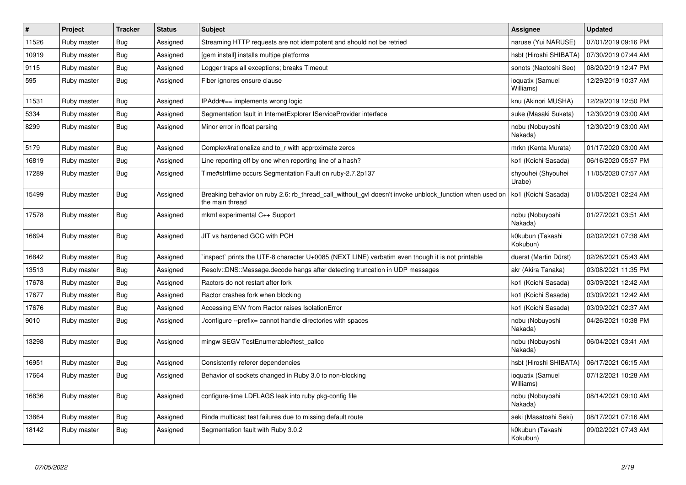| $\vert$ # | Project     | <b>Tracker</b> | <b>Status</b> | <b>Subject</b>                                                                                                            | <b>Assignee</b>               | <b>Updated</b>      |
|-----------|-------------|----------------|---------------|---------------------------------------------------------------------------------------------------------------------------|-------------------------------|---------------------|
| 11526     | Ruby master | Bug            | Assigned      | Streaming HTTP requests are not idempotent and should not be retried                                                      | naruse (Yui NARUSE)           | 07/01/2019 09:16 PM |
| 10919     | Ruby master | <b>Bug</b>     | Assigned      | [gem install] installs multipe platforms                                                                                  | hsbt (Hiroshi SHIBATA)        | 07/30/2019 07:44 AM |
| 9115      | Ruby master | Bug            | Assigned      | Logger traps all exceptions; breaks Timeout                                                                               | sonots (Naotoshi Seo)         | 08/20/2019 12:47 PM |
| 595       | Ruby master | <b>Bug</b>     | Assigned      | Fiber ignores ensure clause                                                                                               | ioquatix (Samuel<br>Williams) | 12/29/2019 10:37 AM |
| 11531     | Ruby master | <b>Bug</b>     | Assigned      | IPAddr#== implements wrong logic                                                                                          | knu (Akinori MUSHA)           | 12/29/2019 12:50 PM |
| 5334      | Ruby master | <b>Bug</b>     | Assigned      | Segmentation fault in InternetExplorer IServiceProvider interface                                                         | suke (Masaki Suketa)          | 12/30/2019 03:00 AM |
| 8299      | Ruby master | <b>Bug</b>     | Assigned      | Minor error in float parsing                                                                                              | nobu (Nobuyoshi<br>Nakada)    | 12/30/2019 03:00 AM |
| 5179      | Ruby master | <b>Bug</b>     | Assigned      | Complex#rationalize and to r with approximate zeros                                                                       | mrkn (Kenta Murata)           | 01/17/2020 03:00 AM |
| 16819     | Ruby master | <b>Bug</b>     | Assigned      | Line reporting off by one when reporting line of a hash?                                                                  | ko1 (Koichi Sasada)           | 06/16/2020 05:57 PM |
| 17289     | Ruby master | <b>Bug</b>     | Assigned      | Time#strftime occurs Segmentation Fault on ruby-2.7.2p137                                                                 | shyouhei (Shyouhei<br>Urabe)  | 11/05/2020 07:57 AM |
| 15499     | Ruby master | Bug            | Assigned      | Breaking behavior on ruby 2.6: rb thread call without gyl doesn't invoke unblock function when used on<br>the main thread | ko1 (Koichi Sasada)           | 01/05/2021 02:24 AM |
| 17578     | Ruby master | <b>Bug</b>     | Assigned      | mkmf experimental C++ Support                                                                                             | nobu (Nobuyoshi<br>Nakada)    | 01/27/2021 03:51 AM |
| 16694     | Ruby master | Bug            | Assigned      | JIT vs hardened GCC with PCH                                                                                              | k0kubun (Takashi<br>Kokubun)  | 02/02/2021 07:38 AM |
| 16842     | Ruby master | Bug            | Assigned      | inspect` prints the UTF-8 character U+0085 (NEXT LINE) verbatim even though it is not printable                           | duerst (Martin Dürst)         | 02/26/2021 05:43 AM |
| 13513     | Ruby master | <b>Bug</b>     | Assigned      | Resolv::DNS::Message.decode hangs after detecting truncation in UDP messages                                              | akr (Akira Tanaka)            | 03/08/2021 11:35 PM |
| 17678     | Ruby master | <b>Bug</b>     | Assigned      | Ractors do not restart after fork                                                                                         | ko1 (Koichi Sasada)           | 03/09/2021 12:42 AM |
| 17677     | Ruby master | <b>Bug</b>     | Assigned      | Ractor crashes fork when blocking                                                                                         | ko1 (Koichi Sasada)           | 03/09/2021 12:42 AM |
| 17676     | Ruby master | Bug            | Assigned      | Accessing ENV from Ractor raises IsolationError                                                                           | ko1 (Koichi Sasada)           | 03/09/2021 02:37 AM |
| 9010      | Ruby master | Bug            | Assigned      | /configure --prefix= cannot handle directories with spaces                                                                | nobu (Nobuyoshi<br>Nakada)    | 04/26/2021 10:38 PM |
| 13298     | Ruby master | Bug            | Assigned      | mingw SEGV TestEnumerable#test callcc                                                                                     | nobu (Nobuyoshi<br>Nakada)    | 06/04/2021 03:41 AM |
| 16951     | Ruby master | <b>Bug</b>     | Assigned      | Consistently referer dependencies                                                                                         | hsbt (Hiroshi SHIBATA)        | 06/17/2021 06:15 AM |
| 17664     | Ruby master | Bug            | Assigned      | Behavior of sockets changed in Ruby 3.0 to non-blocking                                                                   | ioquatix (Samuel<br>Williams) | 07/12/2021 10:28 AM |
| 16836     | Ruby master | Bug            | Assigned      | configure-time LDFLAGS leak into ruby pkg-config file                                                                     | nobu (Nobuyoshi<br>Nakada)    | 08/14/2021 09:10 AM |
| 13864     | Ruby master | <b>Bug</b>     | Assigned      | Rinda multicast test failures due to missing default route                                                                | seki (Masatoshi Seki)         | 08/17/2021 07:16 AM |
| 18142     | Ruby master | <b>Bug</b>     | Assigned      | Segmentation fault with Ruby 3.0.2                                                                                        | k0kubun (Takashi<br>Kokubun)  | 09/02/2021 07:43 AM |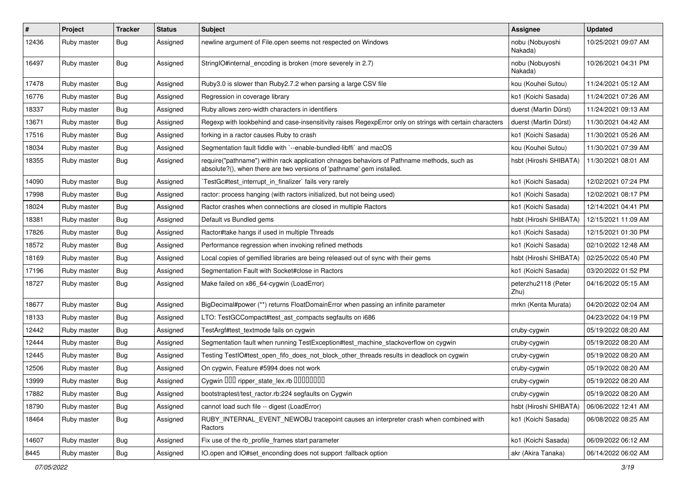| $\pmb{\#}$ | Project     | <b>Tracker</b> | <b>Status</b> | <b>Subject</b>                                                                                                                                                      | <b>Assignee</b>             | <b>Updated</b>      |
|------------|-------------|----------------|---------------|---------------------------------------------------------------------------------------------------------------------------------------------------------------------|-----------------------------|---------------------|
| 12436      | Ruby master | Bug            | Assigned      | newline argument of File.open seems not respected on Windows                                                                                                        | nobu (Nobuyoshi<br>Nakada)  | 10/25/2021 09:07 AM |
| 16497      | Ruby master | Bug            | Assigned      | StringIO#internal_encoding is broken (more severely in 2.7)                                                                                                         | nobu (Nobuyoshi<br>Nakada)  | 10/26/2021 04:31 PM |
| 17478      | Ruby master | Bug            | Assigned      | Ruby3.0 is slower than Ruby2.7.2 when parsing a large CSV file                                                                                                      | kou (Kouhei Sutou)          | 11/24/2021 05:12 AM |
| 16776      | Ruby master | <b>Bug</b>     | Assigned      | Regression in coverage library                                                                                                                                      | ko1 (Koichi Sasada)         | 11/24/2021 07:26 AM |
| 18337      | Ruby master | Bug            | Assigned      | Ruby allows zero-width characters in identifiers                                                                                                                    | duerst (Martin Dürst)       | 11/24/2021 09:13 AM |
| 13671      | Ruby master | <b>Bug</b>     | Assigned      | Regexp with lookbehind and case-insensitivity raises RegexpError only on strings with certain characters                                                            | duerst (Martin Dürst)       | 11/30/2021 04:42 AM |
| 17516      | Ruby master | Bug            | Assigned      | forking in a ractor causes Ruby to crash                                                                                                                            | ko1 (Koichi Sasada)         | 11/30/2021 05:26 AM |
| 18034      | Ruby master | Bug            | Assigned      | Segmentation fault fiddle with `--enable-bundled-libffi` and macOS                                                                                                  | kou (Kouhei Sutou)          | 11/30/2021 07:39 AM |
| 18355      | Ruby master | Bug            | Assigned      | require("pathname") within rack application chnages behaviors of Pathname methods, such as<br>absolute?(), when there are two versions of 'pathname' gem installed. | hsbt (Hiroshi SHIBATA)      | 11/30/2021 08:01 AM |
| 14090      | Ruby master | <b>Bug</b>     | Assigned      | TestGc#test_interrupt_in_finalizer` fails very rarely                                                                                                               | ko1 (Koichi Sasada)         | 12/02/2021 07:24 PM |
| 17998      | Ruby master | <b>Bug</b>     | Assigned      | ractor: process hanging (with ractors initialized, but not being used)                                                                                              | ko1 (Koichi Sasada)         | 12/02/2021 08:17 PM |
| 18024      | Ruby master | Bug            | Assigned      | Ractor crashes when connections are closed in multiple Ractors                                                                                                      | ko1 (Koichi Sasada)         | 12/14/2021 04:41 PM |
| 18381      | Ruby master | <b>Bug</b>     | Assigned      | Default vs Bundled gems                                                                                                                                             | hsbt (Hiroshi SHIBATA)      | 12/15/2021 11:09 AM |
| 17826      | Ruby master | Bug            | Assigned      | Ractor#take hangs if used in multiple Threads                                                                                                                       | ko1 (Koichi Sasada)         | 12/15/2021 01:30 PM |
| 18572      | Ruby master | Bug            | Assigned      | Performance regression when invoking refined methods                                                                                                                | ko1 (Koichi Sasada)         | 02/10/2022 12:48 AM |
| 18169      | Ruby master | <b>Bug</b>     | Assigned      | Local copies of gemified libraries are being released out of sync with their gems                                                                                   | hsbt (Hiroshi SHIBATA)      | 02/25/2022 05:40 PM |
| 17196      | Ruby master | <b>Bug</b>     | Assigned      | Segmentation Fault with Socket#close in Ractors                                                                                                                     | ko1 (Koichi Sasada)         | 03/20/2022 01:52 PM |
| 18727      | Ruby master | <b>Bug</b>     | Assigned      | Make failed on x86_64-cygwin (LoadError)                                                                                                                            | peterzhu2118 (Peter<br>Zhu) | 04/16/2022 05:15 AM |
| 18677      | Ruby master | Bug            | Assigned      | BigDecimal#power (**) returns FloatDomainError when passing an infinite parameter                                                                                   | mrkn (Kenta Murata)         | 04/20/2022 02:04 AM |
| 18133      | Ruby master | Bug            | Assigned      | LTO: TestGCCompact#test_ast_compacts segfaults on i686                                                                                                              |                             | 04/23/2022 04:19 PM |
| 12442      | Ruby master | Bug            | Assigned      | TestArgf#test_textmode fails on cygwin                                                                                                                              | cruby-cygwin                | 05/19/2022 08:20 AM |
| 12444      | Ruby master | Bug            | Assigned      | Segmentation fault when running TestException#test_machine_stackoverflow on cygwin                                                                                  | cruby-cygwin                | 05/19/2022 08:20 AM |
| 12445      | Ruby master | Bug            | Assigned      | Testing TestlO#test_open_fifo_does_not_block_other_threads results in deadlock on cygwin                                                                            | cruby-cygwin                | 05/19/2022 08:20 AM |
| 12506      | Ruby master | Bug            | Assigned      | On cygwin, Feature #5994 does not work                                                                                                                              | cruby-cygwin                | 05/19/2022 08:20 AM |
| 13999      | Ruby master | <b>Bug</b>     | Assigned      | Cygwin DDD ripper_state_lex.rb DDDDDDDD                                                                                                                             | cruby-cygwin                | 05/19/2022 08:20 AM |
| 17882      | Ruby master | <b>Bug</b>     | Assigned      | bootstraptest/test_ractor.rb:224 segfaults on Cygwin                                                                                                                | cruby-cygwin                | 05/19/2022 08:20 AM |
| 18790      | Ruby master | Bug            | Assigned      | cannot load such file -- digest (LoadError)                                                                                                                         | hsbt (Hiroshi SHIBATA)      | 06/06/2022 12:41 AM |
| 18464      | Ruby master | Bug            | Assigned      | RUBY_INTERNAL_EVENT_NEWOBJ tracepoint causes an interpreter crash when combined with<br>Ractors                                                                     | ko1 (Koichi Sasada)         | 06/08/2022 08:25 AM |
| 14607      | Ruby master | Bug            | Assigned      | Fix use of the rb profile frames start parameter                                                                                                                    | ko1 (Koichi Sasada)         | 06/09/2022 06:12 AM |
| 8445       | Ruby master | <b>Bug</b>     | Assigned      | IO.open and IO#set_enconding does not support :fallback option                                                                                                      | akr (Akira Tanaka)          | 06/14/2022 06:02 AM |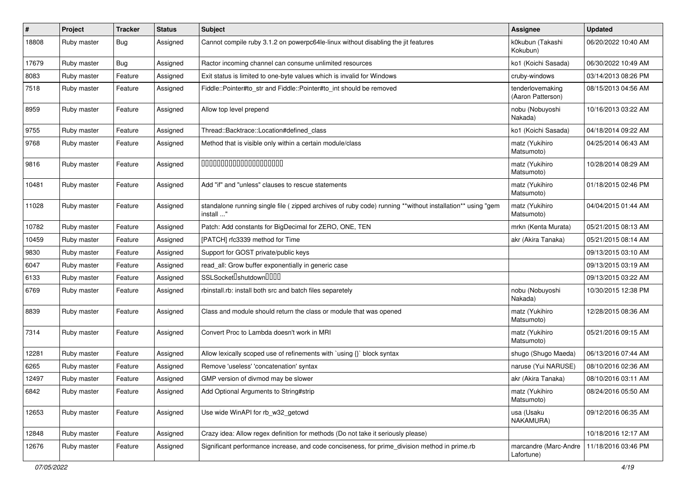| $\sharp$ | Project     | Tracker | <b>Status</b> | <b>Subject</b>                                                                                                         | <b>Assignee</b>                       | <b>Updated</b>      |
|----------|-------------|---------|---------------|------------------------------------------------------------------------------------------------------------------------|---------------------------------------|---------------------|
| 18808    | Ruby master | Bug     | Assigned      | Cannot compile ruby 3.1.2 on powerpc64le-linux without disabling the jit features                                      | k0kubun (Takashi<br>Kokubun)          | 06/20/2022 10:40 AM |
| 17679    | Ruby master | Bug     | Assigned      | Ractor incoming channel can consume unlimited resources                                                                | ko1 (Koichi Sasada)                   | 06/30/2022 10:49 AM |
| 8083     | Ruby master | Feature | Assigned      | Exit status is limited to one-byte values which is invalid for Windows                                                 | cruby-windows                         | 03/14/2013 08:26 PM |
| 7518     | Ruby master | Feature | Assigned      | Fiddle::Pointer#to_str and Fiddle::Pointer#to_int should be removed                                                    | tenderlovemaking<br>(Aaron Patterson) | 08/15/2013 04:56 AM |
| 8959     | Ruby master | Feature | Assigned      | Allow top level prepend                                                                                                | nobu (Nobuyoshi<br>Nakada)            | 10/16/2013 03:22 AM |
| 9755     | Ruby master | Feature | Assigned      | Thread::Backtrace::Location#defined class                                                                              | ko1 (Koichi Sasada)                   | 04/18/2014 09:22 AM |
| 9768     | Ruby master | Feature | Assigned      | Method that is visible only within a certain module/class                                                              | matz (Yukihiro<br>Matsumoto)          | 04/25/2014 06:43 AM |
| 9816     | Ruby master | Feature | Assigned      | 00000000000000000000                                                                                                   | matz (Yukihiro<br>Matsumoto)          | 10/28/2014 08:29 AM |
| 10481    | Ruby master | Feature | Assigned      | Add "if" and "unless" clauses to rescue statements                                                                     | matz (Yukihiro<br>Matsumoto)          | 01/18/2015 02:46 PM |
| 11028    | Ruby master | Feature | Assigned      | standalone running single file (zipped archives of ruby code) running **without installation** using "gem<br>install " | matz (Yukihiro<br>Matsumoto)          | 04/04/2015 01:44 AM |
| 10782    | Ruby master | Feature | Assigned      | Patch: Add constants for BigDecimal for ZERO, ONE, TEN                                                                 | mrkn (Kenta Murata)                   | 05/21/2015 08:13 AM |
| 10459    | Ruby master | Feature | Assigned      | [PATCH] rfc3339 method for Time                                                                                        | akr (Akira Tanaka)                    | 05/21/2015 08:14 AM |
| 9830     | Ruby master | Feature | Assigned      | Support for GOST private/public keys                                                                                   |                                       | 09/13/2015 03:10 AM |
| 6047     | Ruby master | Feature | Assigned      | read_all: Grow buffer exponentially in generic case                                                                    |                                       | 09/13/2015 03:19 AM |
| 6133     | Ruby master | Feature | Assigned      | SSLSocket <sup>[</sup> shutdown <sup>[11]</sup>                                                                        |                                       | 09/13/2015 03:22 AM |
| 6769     | Ruby master | Feature | Assigned      | rbinstall.rb: install both src and batch files separetely                                                              | nobu (Nobuyoshi<br>Nakada)            | 10/30/2015 12:38 PM |
| 8839     | Ruby master | Feature | Assigned      | Class and module should return the class or module that was opened                                                     | matz (Yukihiro<br>Matsumoto)          | 12/28/2015 08:36 AM |
| 7314     | Ruby master | Feature | Assigned      | Convert Proc to Lambda doesn't work in MRI                                                                             | matz (Yukihiro<br>Matsumoto)          | 05/21/2016 09:15 AM |
| 12281    | Ruby master | Feature | Assigned      | Allow lexically scoped use of refinements with `using {}` block syntax                                                 | shugo (Shugo Maeda)                   | 06/13/2016 07:44 AM |
| 6265     | Ruby master | Feature | Assigned      | Remove 'useless' 'concatenation' syntax                                                                                | naruse (Yui NARUSE)                   | 08/10/2016 02:36 AM |
| 12497    | Ruby master | Feature | Assigned      | GMP version of divmod may be slower                                                                                    | akr (Akira Tanaka)                    | 08/10/2016 03:11 AM |
| 6842     | Ruby master | Feature | Assigned      | Add Optional Arguments to String#strip                                                                                 | matz (Yukihiro<br>Matsumoto)          | 08/24/2016 05:50 AM |
| 12653    | Ruby master | Feature | Assigned      | Use wide WinAPI for rb_w32_getcwd                                                                                      | usa (Usaku<br>NAKAMURA)               | 09/12/2016 06:35 AM |
| 12848    | Ruby master | Feature | Assigned      | Crazy idea: Allow regex definition for methods (Do not take it seriously please)                                       |                                       | 10/18/2016 12:17 AM |
| 12676    | Ruby master | Feature | Assigned      | Significant performance increase, and code conciseness, for prime_division method in prime.rb                          | marcandre (Marc-Andre<br>Lafortune)   | 11/18/2016 03:46 PM |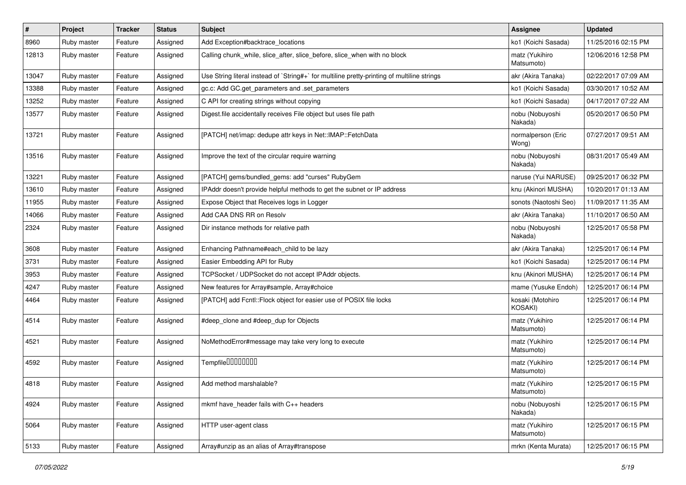| $\pmb{\#}$ | Project     | <b>Tracker</b> | <b>Status</b> | <b>Subject</b>                                                                              | Assignee                           | <b>Updated</b>      |
|------------|-------------|----------------|---------------|---------------------------------------------------------------------------------------------|------------------------------------|---------------------|
| 8960       | Ruby master | Feature        | Assigned      | Add Exception#backtrace_locations                                                           | ko1 (Koichi Sasada)                | 11/25/2016 02:15 PM |
| 12813      | Ruby master | Feature        | Assigned      | Calling chunk_while, slice_after, slice_before, slice_when with no block                    | matz (Yukihiro<br>Matsumoto)       | 12/06/2016 12:58 PM |
| 13047      | Ruby master | Feature        | Assigned      | Use String literal instead of `String#+` for multiline pretty-printing of multiline strings | akr (Akira Tanaka)                 | 02/22/2017 07:09 AM |
| 13388      | Ruby master | Feature        | Assigned      | gc.c: Add GC.get_parameters and .set_parameters                                             | ko1 (Koichi Sasada)                | 03/30/2017 10:52 AM |
| 13252      | Ruby master | Feature        | Assigned      | C API for creating strings without copying                                                  | ko1 (Koichi Sasada)                | 04/17/2017 07:22 AM |
| 13577      | Ruby master | Feature        | Assigned      | Digest file accidentally receives File object but uses file path                            | nobu (Nobuyoshi<br>Nakada)         | 05/20/2017 06:50 PM |
| 13721      | Ruby master | Feature        | Assigned      | [PATCH] net/imap: dedupe attr keys in Net::IMAP::FetchData                                  | normalperson (Eric<br>Wong)        | 07/27/2017 09:51 AM |
| 13516      | Ruby master | Feature        | Assigned      | Improve the text of the circular require warning                                            | nobu (Nobuyoshi<br>Nakada)         | 08/31/2017 05:49 AM |
| 13221      | Ruby master | Feature        | Assigned      | [PATCH] gems/bundled_gems: add "curses" RubyGem                                             | naruse (Yui NARUSE)                | 09/25/2017 06:32 PM |
| 13610      | Ruby master | Feature        | Assigned      | IPAddr doesn't provide helpful methods to get the subnet or IP address                      | knu (Akinori MUSHA)                | 10/20/2017 01:13 AM |
| 11955      | Ruby master | Feature        | Assigned      | Expose Object that Receives logs in Logger                                                  | sonots (Naotoshi Seo)              | 11/09/2017 11:35 AM |
| 14066      | Ruby master | Feature        | Assigned      | Add CAA DNS RR on Resolv                                                                    | akr (Akira Tanaka)                 | 11/10/2017 06:50 AM |
| 2324       | Ruby master | Feature        | Assigned      | Dir instance methods for relative path                                                      | nobu (Nobuyoshi<br>Nakada)         | 12/25/2017 05:58 PM |
| 3608       | Ruby master | Feature        | Assigned      | Enhancing Pathname#each child to be lazy                                                    | akr (Akira Tanaka)                 | 12/25/2017 06:14 PM |
| 3731       | Ruby master | Feature        | Assigned      | Easier Embedding API for Ruby                                                               | ko1 (Koichi Sasada)                | 12/25/2017 06:14 PM |
| 3953       | Ruby master | Feature        | Assigned      | TCPSocket / UDPSocket do not accept IPAddr objects.                                         | knu (Akinori MUSHA)                | 12/25/2017 06:14 PM |
| 4247       | Ruby master | Feature        | Assigned      | New features for Array#sample, Array#choice                                                 | mame (Yusuke Endoh)                | 12/25/2017 06:14 PM |
| 4464       | Ruby master | Feature        | Assigned      | [PATCH] add Fcntl::Flock object for easier use of POSIX file locks                          | kosaki (Motohiro<br><b>KOSAKI)</b> | 12/25/2017 06:14 PM |
| 4514       | Ruby master | Feature        | Assigned      | #deep_clone and #deep_dup for Objects                                                       | matz (Yukihiro<br>Matsumoto)       | 12/25/2017 06:14 PM |
| 4521       | Ruby master | Feature        | Assigned      | NoMethodError#message may take very long to execute                                         | matz (Yukihiro<br>Matsumoto)       | 12/25/2017 06:14 PM |
| 4592       | Ruby master | Feature        | Assigned      | Tempfile0000000                                                                             | matz (Yukihiro<br>Matsumoto)       | 12/25/2017 06:14 PM |
| 4818       | Ruby master | Feature        | Assigned      | Add method marshalable?                                                                     | matz (Yukihiro<br>Matsumoto)       | 12/25/2017 06:15 PM |
| 4924       | Ruby master | Feature        | Assigned      | mkmf have header fails with C++ headers                                                     | nobu (Nobuyoshi<br>Nakada)         | 12/25/2017 06:15 PM |
| 5064       | Ruby master | Feature        | Assigned      | HTTP user-agent class                                                                       | matz (Yukihiro<br>Matsumoto)       | 12/25/2017 06:15 PM |
| 5133       | Ruby master | Feature        | Assigned      | Array#unzip as an alias of Array#transpose                                                  | mrkn (Kenta Murata)                | 12/25/2017 06:15 PM |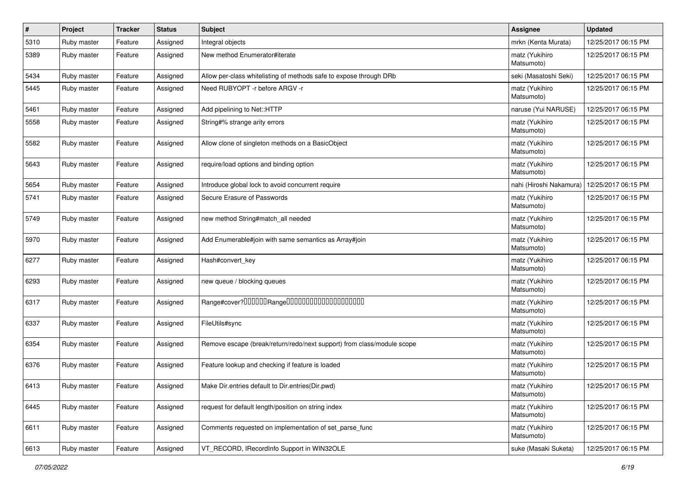| #    | Project     | <b>Tracker</b> | <b>Status</b> | Subject                                                                | <b>Assignee</b>              | <b>Updated</b>      |
|------|-------------|----------------|---------------|------------------------------------------------------------------------|------------------------------|---------------------|
| 5310 | Ruby master | Feature        | Assigned      | Integral objects                                                       | mrkn (Kenta Murata)          | 12/25/2017 06:15 PM |
| 5389 | Ruby master | Feature        | Assigned      | New method Enumerator#iterate                                          | matz (Yukihiro<br>Matsumoto) | 12/25/2017 06:15 PM |
| 5434 | Ruby master | Feature        | Assigned      | Allow per-class white listing of methods safe to expose through DRb    | seki (Masatoshi Seki)        | 12/25/2017 06:15 PM |
| 5445 | Ruby master | Feature        | Assigned      | Need RUBYOPT - r before ARGV - r                                       | matz (Yukihiro<br>Matsumoto) | 12/25/2017 06:15 PM |
| 5461 | Ruby master | Feature        | Assigned      | Add pipelining to Net::HTTP                                            | naruse (Yui NARUSE)          | 12/25/2017 06:15 PM |
| 5558 | Ruby master | Feature        | Assigned      | String#% strange arity errors                                          | matz (Yukihiro<br>Matsumoto) | 12/25/2017 06:15 PM |
| 5582 | Ruby master | Feature        | Assigned      | Allow clone of singleton methods on a BasicObject                      | matz (Yukihiro<br>Matsumoto) | 12/25/2017 06:15 PM |
| 5643 | Ruby master | Feature        | Assigned      | require/load options and binding option                                | matz (Yukihiro<br>Matsumoto) | 12/25/2017 06:15 PM |
| 5654 | Ruby master | Feature        | Assigned      | Introduce global lock to avoid concurrent require                      | nahi (Hiroshi Nakamura)      | 12/25/2017 06:15 PM |
| 5741 | Ruby master | Feature        | Assigned      | Secure Erasure of Passwords                                            | matz (Yukihiro<br>Matsumoto) | 12/25/2017 06:15 PM |
| 5749 | Ruby master | Feature        | Assigned      | new method String#match_all needed                                     | matz (Yukihiro<br>Matsumoto) | 12/25/2017 06:15 PM |
| 5970 | Ruby master | Feature        | Assigned      | Add Enumerable#join with same semantics as Array#join                  | matz (Yukihiro<br>Matsumoto) | 12/25/2017 06:15 PM |
| 6277 | Ruby master | Feature        | Assigned      | Hash#convert_key                                                       | matz (Yukihiro<br>Matsumoto) | 12/25/2017 06:15 PM |
| 6293 | Ruby master | Feature        | Assigned      | new queue / blocking queues                                            | matz (Yukihiro<br>Matsumoto) | 12/25/2017 06:15 PM |
| 6317 | Ruby master | Feature        | Assigned      |                                                                        | matz (Yukihiro<br>Matsumoto) | 12/25/2017 06:15 PM |
| 6337 | Ruby master | Feature        | Assigned      | FileUtils#sync                                                         | matz (Yukihiro<br>Matsumoto) | 12/25/2017 06:15 PM |
| 6354 | Ruby master | Feature        | Assigned      | Remove escape (break/return/redo/next support) from class/module scope | matz (Yukihiro<br>Matsumoto) | 12/25/2017 06:15 PM |
| 6376 | Ruby master | Feature        | Assigned      | Feature lookup and checking if feature is loaded                       | matz (Yukihiro<br>Matsumoto) | 12/25/2017 06:15 PM |
| 6413 | Ruby master | Feature        | Assigned      | Make Dir.entries default to Dir.entries(Dir.pwd)                       | matz (Yukihiro<br>Matsumoto) | 12/25/2017 06:15 PM |
| 6445 | Ruby master | Feature        | Assigned      | request for default length/position on string index                    | matz (Yukihiro<br>Matsumoto) | 12/25/2017 06:15 PM |
| 6611 | Ruby master | Feature        | Assigned      | Comments requested on implementation of set parse func                 | matz (Yukihiro<br>Matsumoto) | 12/25/2017 06:15 PM |
| 6613 | Ruby master | Feature        | Assigned      | VT_RECORD, IRecordInfo Support in WIN32OLE                             | suke (Masaki Suketa)         | 12/25/2017 06:15 PM |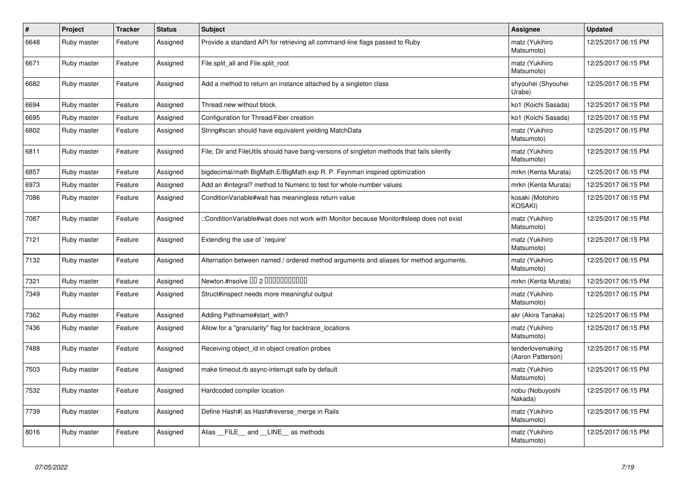| $\vert$ # | Project     | <b>Tracker</b> | <b>Status</b> | <b>Subject</b>                                                                             | <b>Assignee</b>                       | <b>Updated</b>      |
|-----------|-------------|----------------|---------------|--------------------------------------------------------------------------------------------|---------------------------------------|---------------------|
| 6648      | Ruby master | Feature        | Assigned      | Provide a standard API for retrieving all command-line flags passed to Ruby                | matz (Yukihiro<br>Matsumoto)          | 12/25/2017 06:15 PM |
| 6671      | Ruby master | Feature        | Assigned      | File.split_all and File.split_root                                                         | matz (Yukihiro<br>Matsumoto)          | 12/25/2017 06:15 PM |
| 6682      | Ruby master | Feature        | Assigned      | Add a method to return an instance attached by a singleton class                           | shyouhei (Shyouhei<br>Urabe)          | 12/25/2017 06:15 PM |
| 6694      | Ruby master | Feature        | Assigned      | Thread.new without block.                                                                  | ko1 (Koichi Sasada)                   | 12/25/2017 06:15 PM |
| 6695      | Ruby master | Feature        | Assigned      | Configuration for Thread/Fiber creation                                                    | ko1 (Koichi Sasada)                   | 12/25/2017 06:15 PM |
| 6802      | Ruby master | Feature        | Assigned      | String#scan should have equivalent yielding MatchData                                      | matz (Yukihiro<br>Matsumoto)          | 12/25/2017 06:15 PM |
| 6811      | Ruby master | Feature        | Assigned      | File, Dir and FileUtils should have bang-versions of singleton methods that fails silently | matz (Yukihiro<br>Matsumoto)          | 12/25/2017 06:15 PM |
| 6857      | Ruby master | Feature        | Assigned      | bigdecimal/math BigMath.E/BigMath.exp R. P. Feynman inspired optimization                  | mrkn (Kenta Murata)                   | 12/25/2017 06:15 PM |
| 6973      | Ruby master | Feature        | Assigned      | Add an #integral? method to Numeric to test for whole-number values                        | mrkn (Kenta Murata)                   | 12/25/2017 06:15 PM |
| 7086      | Ruby master | Feature        | Assigned      | ConditionVariable#wait has meaningless return value                                        | kosaki (Motohiro<br><b>KOSAKI)</b>    | 12/25/2017 06:15 PM |
| 7087      | Ruby master | Feature        | Assigned      | ::ConditionVariable#wait does not work with Monitor because Monitor#sleep does not exist   | matz (Yukihiro<br>Matsumoto)          | 12/25/2017 06:15 PM |
| 7121      | Ruby master | Feature        | Assigned      | Extending the use of `require'                                                             | matz (Yukihiro<br>Matsumoto)          | 12/25/2017 06:15 PM |
| 7132      | Ruby master | Feature        | Assigned      | Alternation between named / ordered method arguments and aliases for method arguments.     | matz (Yukihiro<br>Matsumoto)          | 12/25/2017 06:15 PM |
| 7321      | Ruby master | Feature        | Assigned      | Newton.#nsolve 00 2 0000000000                                                             | mrkn (Kenta Murata)                   | 12/25/2017 06:15 PM |
| 7349      | Ruby master | Feature        | Assigned      | Struct#inspect needs more meaningful output                                                | matz (Yukihiro<br>Matsumoto)          | 12/25/2017 06:15 PM |
| 7362      | Ruby master | Feature        | Assigned      | Adding Pathname#start with?                                                                | akr (Akira Tanaka)                    | 12/25/2017 06:15 PM |
| 7436      | Ruby master | Feature        | Assigned      | Allow for a "granularity" flag for backtrace_locations                                     | matz (Yukihiro<br>Matsumoto)          | 12/25/2017 06:15 PM |
| 7488      | Ruby master | Feature        | Assigned      | Receiving object id in object creation probes                                              | tenderlovemaking<br>(Aaron Patterson) | 12/25/2017 06:15 PM |
| 7503      | Ruby master | Feature        | Assigned      | make timeout.rb async-interrupt safe by default                                            | matz (Yukihiro<br>Matsumoto)          | 12/25/2017 06:15 PM |
| 7532      | Ruby master | Feature        | Assigned      | Hardcoded compiler location                                                                | nobu (Nobuyoshi<br>Nakada)            | 12/25/2017 06:15 PM |
| 7739      | Ruby master | Feature        | Assigned      | Define Hash#  as Hash#reverse merge in Rails                                               | matz (Yukihiro<br>Matsumoto)          | 12/25/2017 06:15 PM |
| 8016      | Ruby master | Feature        | Assigned      | Alias FILE and LINE as methods                                                             | matz (Yukihiro<br>Matsumoto)          | 12/25/2017 06:15 PM |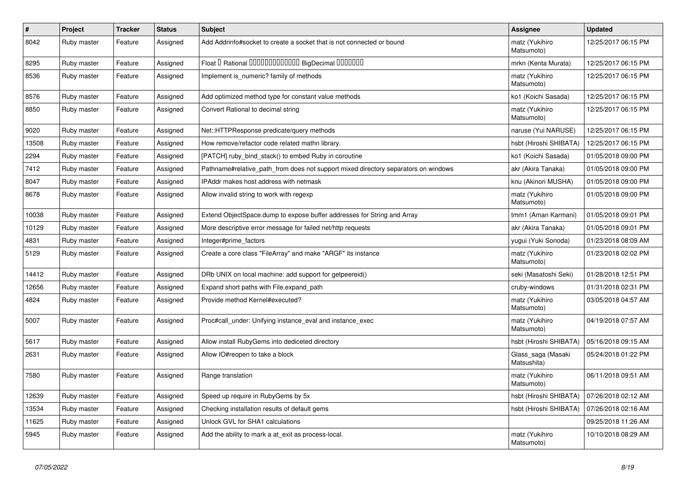| $\vert$ # | Project     | <b>Tracker</b> | <b>Status</b> | <b>Subject</b>                                                                     | <b>Assignee</b>                   | <b>Updated</b>      |
|-----------|-------------|----------------|---------------|------------------------------------------------------------------------------------|-----------------------------------|---------------------|
| 8042      | Ruby master | Feature        | Assigned      | Add Addrinfo#socket to create a socket that is not connected or bound              | matz (Yukihiro<br>Matsumoto)      | 12/25/2017 06:15 PM |
| 8295      | Ruby master | Feature        | Assigned      | Float I Rational 0000000000000 BigDecimal 0000000                                  | mrkn (Kenta Murata)               | 12/25/2017 06:15 PM |
| 8536      | Ruby master | Feature        | Assigned      | Implement is numeric? family of methods                                            | matz (Yukihiro<br>Matsumoto)      | 12/25/2017 06:15 PM |
| 8576      | Ruby master | Feature        | Assigned      | Add optimized method type for constant value methods                               | ko1 (Koichi Sasada)               | 12/25/2017 06:15 PM |
| 8850      | Ruby master | Feature        | Assigned      | Convert Rational to decimal string                                                 | matz (Yukihiro<br>Matsumoto)      | 12/25/2017 06:15 PM |
| 9020      | Ruby master | Feature        | Assigned      | Net::HTTPResponse predicate/query methods                                          | naruse (Yui NARUSE)               | 12/25/2017 06:15 PM |
| 13508     | Ruby master | Feature        | Assigned      | How remove/refactor code related mathn library.                                    | hsbt (Hiroshi SHIBATA)            | 12/25/2017 06:15 PM |
| 2294      | Ruby master | Feature        | Assigned      | [PATCH] ruby bind stack() to embed Ruby in coroutine                               | ko1 (Koichi Sasada)               | 01/05/2018 09:00 PM |
| 7412      | Ruby master | Feature        | Assigned      | Pathname#relative path from does not support mixed directory separators on windows | akr (Akira Tanaka)                | 01/05/2018 09:00 PM |
| 8047      | Ruby master | Feature        | Assigned      | IPAddr makes host address with netmask                                             | knu (Akinori MUSHA)               | 01/05/2018 09:00 PM |
| 8678      | Ruby master | Feature        | Assigned      | Allow invalid string to work with regexp                                           | matz (Yukihiro<br>Matsumoto)      | 01/05/2018 09:00 PM |
| 10038     | Ruby master | Feature        | Assigned      | Extend ObjectSpace.dump to expose buffer addresses for String and Array            | tmm1 (Aman Karmani)               | 01/05/2018 09:01 PM |
| 10129     | Ruby master | Feature        | Assigned      | More descriptive error message for failed net/http requests                        | akr (Akira Tanaka)                | 01/05/2018 09:01 PM |
| 4831      | Ruby master | Feature        | Assigned      | Integer#prime factors                                                              | yugui (Yuki Sonoda)               | 01/23/2018 08:09 AM |
| 5129      | Ruby master | Feature        | Assigned      | Create a core class "FileArray" and make "ARGF" its instance                       | matz (Yukihiro<br>Matsumoto)      | 01/23/2018 02:02 PM |
| 14412     | Ruby master | Feature        | Assigned      | DRb UNIX on local machine: add support for getpeereid()                            | seki (Masatoshi Seki)             | 01/28/2018 12:51 PM |
| 12656     | Ruby master | Feature        | Assigned      | Expand short paths with File.expand_path                                           | cruby-windows                     | 01/31/2018 02:31 PM |
| 4824      | Ruby master | Feature        | Assigned      | Provide method Kernel#executed?                                                    | matz (Yukihiro<br>Matsumoto)      | 03/05/2018 04:57 AM |
| 5007      | Ruby master | Feature        | Assigned      | Proc#call under: Unifying instance eval and instance exec                          | matz (Yukihiro<br>Matsumoto)      | 04/19/2018 07:57 AM |
| 5617      | Ruby master | Feature        | Assigned      | Allow install RubyGems into dediceted directory                                    | hsbt (Hiroshi SHIBATA)            | 05/16/2018 09:15 AM |
| 2631      | Ruby master | Feature        | Assigned      | Allow IO#reopen to take a block                                                    | Glass saga (Masaki<br>Matsushita) | 05/24/2018 01:22 PM |
| 7580      | Ruby master | Feature        | Assigned      | Range translation                                                                  | matz (Yukihiro<br>Matsumoto)      | 06/11/2018 09:51 AM |
| 12639     | Ruby master | Feature        | Assigned      | Speed up require in RubyGems by 5x                                                 | hsbt (Hiroshi SHIBATA)            | 07/26/2018 02:12 AM |
| 13534     | Ruby master | Feature        | Assigned      | Checking installation results of default gems                                      | hsbt (Hiroshi SHIBATA)            | 07/26/2018 02:16 AM |
| 11625     | Ruby master | Feature        | Assigned      | Unlock GVL for SHA1 calculations                                                   |                                   | 09/25/2018 11:26 AM |
| 5945      | Ruby master | Feature        | Assigned      | Add the ability to mark a at_exit as process-local.                                | matz (Yukihiro<br>Matsumoto)      | 10/10/2018 08:29 AM |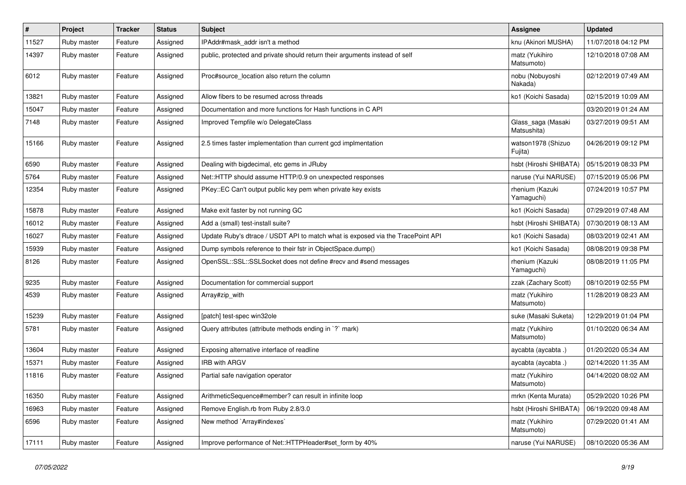| $\pmb{\#}$ | Project     | <b>Tracker</b> | <b>Status</b> | <b>Subject</b>                                                                  | <b>Assignee</b>                   | <b>Updated</b>      |
|------------|-------------|----------------|---------------|---------------------------------------------------------------------------------|-----------------------------------|---------------------|
| 11527      | Ruby master | Feature        | Assigned      | IPAddr#mask addr isn't a method                                                 | knu (Akinori MUSHA)               | 11/07/2018 04:12 PM |
| 14397      | Ruby master | Feature        | Assigned      | public, protected and private should return their arguments instead of self     | matz (Yukihiro<br>Matsumoto)      | 12/10/2018 07:08 AM |
| 6012       | Ruby master | Feature        | Assigned      | Proc#source_location also return the column                                     | nobu (Nobuyoshi<br>Nakada)        | 02/12/2019 07:49 AM |
| 13821      | Ruby master | Feature        | Assigned      | Allow fibers to be resumed across threads                                       | ko1 (Koichi Sasada)               | 02/15/2019 10:09 AM |
| 15047      | Ruby master | Feature        | Assigned      | Documentation and more functions for Hash functions in C API                    |                                   | 03/20/2019 01:24 AM |
| 7148       | Ruby master | Feature        | Assigned      | Improved Tempfile w/o DelegateClass                                             | Glass_saga (Masaki<br>Matsushita) | 03/27/2019 09:51 AM |
| 15166      | Ruby master | Feature        | Assigned      | 2.5 times faster implementation than current gcd implmentation                  | watson1978 (Shizuo<br>Fujita)     | 04/26/2019 09:12 PM |
| 6590       | Ruby master | Feature        | Assigned      | Dealing with bigdecimal, etc gems in JRuby                                      | hsbt (Hiroshi SHIBATA)            | 05/15/2019 08:33 PM |
| 5764       | Ruby master | Feature        | Assigned      | Net::HTTP should assume HTTP/0.9 on unexpected responses                        | naruse (Yui NARUSE)               | 07/15/2019 05:06 PM |
| 12354      | Ruby master | Feature        | Assigned      | PKey::EC Can't output public key pem when private key exists                    | rhenium (Kazuki<br>Yamaguchi)     | 07/24/2019 10:57 PM |
| 15878      | Ruby master | Feature        | Assigned      | Make exit faster by not running GC                                              | ko1 (Koichi Sasada)               | 07/29/2019 07:48 AM |
| 16012      | Ruby master | Feature        | Assigned      | Add a (small) test-install suite?                                               | hsbt (Hiroshi SHIBATA)            | 07/30/2019 08:13 AM |
| 16027      | Ruby master | Feature        | Assigned      | Update Ruby's dtrace / USDT API to match what is exposed via the TracePoint API | ko1 (Koichi Sasada)               | 08/03/2019 02:41 AM |
| 15939      | Ruby master | Feature        | Assigned      | Dump symbols reference to their fstr in ObjectSpace.dump()                      | ko1 (Koichi Sasada)               | 08/08/2019 09:38 PM |
| 8126       | Ruby master | Feature        | Assigned      | OpenSSL::SSL::SSLSocket does not define #recv and #send messages                | rhenium (Kazuki<br>Yamaguchi)     | 08/08/2019 11:05 PM |
| 9235       | Ruby master | Feature        | Assigned      | Documentation for commercial support                                            | zzak (Zachary Scott)              | 08/10/2019 02:55 PM |
| 4539       | Ruby master | Feature        | Assigned      | Array#zip with                                                                  | matz (Yukihiro<br>Matsumoto)      | 11/28/2019 08:23 AM |
| 15239      | Ruby master | Feature        | Assigned      | [patch] test-spec win32ole                                                      | suke (Masaki Suketa)              | 12/29/2019 01:04 PM |
| 5781       | Ruby master | Feature        | Assigned      | Query attributes (attribute methods ending in `?` mark)                         | matz (Yukihiro<br>Matsumoto)      | 01/10/2020 06:34 AM |
| 13604      | Ruby master | Feature        | Assigned      | Exposing alternative interface of readline                                      | aycabta (aycabta.)                | 01/20/2020 05:34 AM |
| 15371      | Ruby master | Feature        | Assigned      | <b>IRB with ARGV</b>                                                            | aycabta (aycabta .)               | 02/14/2020 11:35 AM |
| 11816      | Ruby master | Feature        | Assigned      | Partial safe navigation operator                                                | matz (Yukihiro<br>Matsumoto)      | 04/14/2020 08:02 AM |
| 16350      | Ruby master | Feature        | Assigned      | ArithmeticSequence#member? can result in infinite loop                          | mrkn (Kenta Murata)               | 05/29/2020 10:26 PM |
| 16963      | Ruby master | Feature        | Assigned      | Remove English.rb from Ruby 2.8/3.0                                             | hsbt (Hiroshi SHIBATA)            | 06/19/2020 09:48 AM |
| 6596       | Ruby master | Feature        | Assigned      | New method `Array#indexes`                                                      | matz (Yukihiro<br>Matsumoto)      | 07/29/2020 01:41 AM |
| 17111      | Ruby master | Feature        | Assigned      | Improve performance of Net::HTTPHeader#set_form by 40%                          | naruse (Yui NARUSE)               | 08/10/2020 05:36 AM |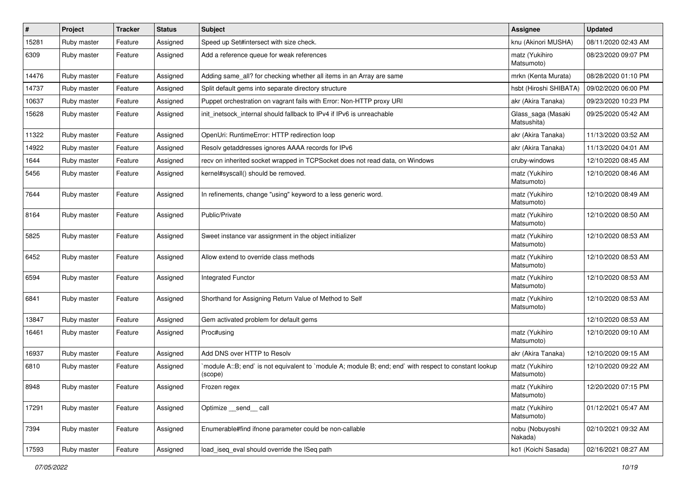| #     | Project     | <b>Tracker</b> | <b>Status</b> | Subject                                                                                                           | Assignee                          | <b>Updated</b>      |
|-------|-------------|----------------|---------------|-------------------------------------------------------------------------------------------------------------------|-----------------------------------|---------------------|
| 15281 | Ruby master | Feature        | Assigned      | Speed up Set#intersect with size check.                                                                           | knu (Akinori MUSHA)               | 08/11/2020 02:43 AM |
| 6309  | Ruby master | Feature        | Assigned      | Add a reference queue for weak references                                                                         | matz (Yukihiro<br>Matsumoto)      | 08/23/2020 09:07 PM |
| 14476 | Ruby master | Feature        | Assigned      | Adding same_all? for checking whether all items in an Array are same                                              | mrkn (Kenta Murata)               | 08/28/2020 01:10 PM |
| 14737 | Ruby master | Feature        | Assigned      | Split default gems into separate directory structure                                                              | hsbt (Hiroshi SHIBATA)            | 09/02/2020 06:00 PM |
| 10637 | Ruby master | Feature        | Assigned      | Puppet orchestration on vagrant fails with Error: Non-HTTP proxy URI                                              | akr (Akira Tanaka)                | 09/23/2020 10:23 PM |
| 15628 | Ruby master | Feature        | Assigned      | init_inetsock_internal should fallback to IPv4 if IPv6 is unreachable                                             | Glass_saga (Masaki<br>Matsushita) | 09/25/2020 05:42 AM |
| 11322 | Ruby master | Feature        | Assigned      | OpenUri: RuntimeError: HTTP redirection loop                                                                      | akr (Akira Tanaka)                | 11/13/2020 03:52 AM |
| 14922 | Ruby master | Feature        | Assigned      | Resolv getaddresses ignores AAAA records for IPv6                                                                 | akr (Akira Tanaka)                | 11/13/2020 04:01 AM |
| 1644  | Ruby master | Feature        | Assigned      | recv on inherited socket wrapped in TCPSocket does not read data, on Windows                                      | cruby-windows                     | 12/10/2020 08:45 AM |
| 5456  | Ruby master | Feature        | Assigned      | kernel#syscall() should be removed.                                                                               | matz (Yukihiro<br>Matsumoto)      | 12/10/2020 08:46 AM |
| 7644  | Ruby master | Feature        | Assigned      | In refinements, change "using" keyword to a less generic word.                                                    | matz (Yukihiro<br>Matsumoto)      | 12/10/2020 08:49 AM |
| 8164  | Ruby master | Feature        | Assigned      | Public/Private                                                                                                    | matz (Yukihiro<br>Matsumoto)      | 12/10/2020 08:50 AM |
| 5825  | Ruby master | Feature        | Assigned      | Sweet instance var assignment in the object initializer                                                           | matz (Yukihiro<br>Matsumoto)      | 12/10/2020 08:53 AM |
| 6452  | Ruby master | Feature        | Assigned      | Allow extend to override class methods                                                                            | matz (Yukihiro<br>Matsumoto)      | 12/10/2020 08:53 AM |
| 6594  | Ruby master | Feature        | Assigned      | Integrated Functor                                                                                                | matz (Yukihiro<br>Matsumoto)      | 12/10/2020 08:53 AM |
| 6841  | Ruby master | Feature        | Assigned      | Shorthand for Assigning Return Value of Method to Self                                                            | matz (Yukihiro<br>Matsumoto)      | 12/10/2020 08:53 AM |
| 13847 | Ruby master | Feature        | Assigned      | Gem activated problem for default gems                                                                            |                                   | 12/10/2020 08:53 AM |
| 16461 | Ruby master | Feature        | Assigned      | Proc#using                                                                                                        | matz (Yukihiro<br>Matsumoto)      | 12/10/2020 09:10 AM |
| 16937 | Ruby master | Feature        | Assigned      | Add DNS over HTTP to Resolv                                                                                       | akr (Akira Tanaka)                | 12/10/2020 09:15 AM |
| 6810  | Ruby master | Feature        | Assigned      | module A::B; end` is not equivalent to `module A; module B; end; end` with respect to constant lookup`<br>(scope) | matz (Yukihiro<br>Matsumoto)      | 12/10/2020 09:22 AM |
| 8948  | Ruby master | Feature        | Assigned      | Frozen regex                                                                                                      | matz (Yukihiro<br>Matsumoto)      | 12/20/2020 07:15 PM |
| 17291 | Ruby master | Feature        | Assigned      | Optimize send call                                                                                                | matz (Yukihiro<br>Matsumoto)      | 01/12/2021 05:47 AM |
| 7394  | Ruby master | Feature        | Assigned      | Enumerable#find ifnone parameter could be non-callable                                                            | nobu (Nobuyoshi<br>Nakada)        | 02/10/2021 09:32 AM |
| 17593 | Ruby master | Feature        | Assigned      | load iseq eval should override the ISeq path                                                                      | ko1 (Koichi Sasada)               | 02/16/2021 08:27 AM |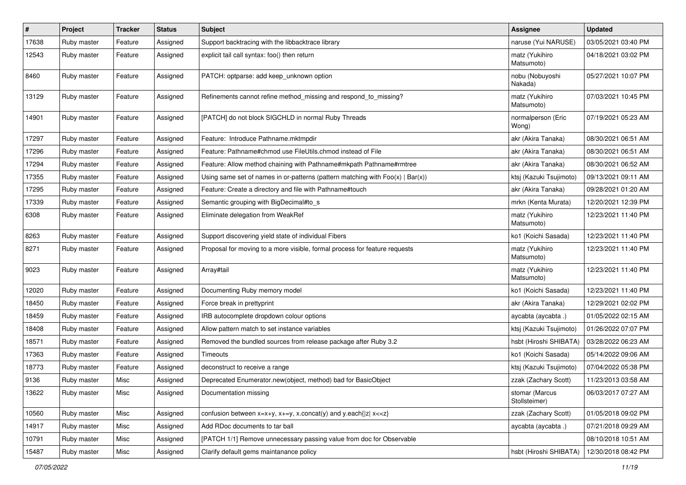| $\sharp$ | Project     | <b>Tracker</b> | <b>Status</b> | Subject                                                                           | Assignee                        | <b>Updated</b>      |
|----------|-------------|----------------|---------------|-----------------------------------------------------------------------------------|---------------------------------|---------------------|
| 17638    | Ruby master | Feature        | Assigned      | Support backtracing with the libbacktrace library                                 | naruse (Yui NARUSE)             | 03/05/2021 03:40 PM |
| 12543    | Ruby master | Feature        | Assigned      | explicit tail call syntax: foo() then return                                      | matz (Yukihiro<br>Matsumoto)    | 04/18/2021 03:02 PM |
| 8460     | Ruby master | Feature        | Assigned      | PATCH: optparse: add keep_unknown option                                          | nobu (Nobuyoshi<br>Nakada)      | 05/27/2021 10:07 PM |
| 13129    | Ruby master | Feature        | Assigned      | Refinements cannot refine method_missing and respond_to_missing?                  | matz (Yukihiro<br>Matsumoto)    | 07/03/2021 10:45 PM |
| 14901    | Ruby master | Feature        | Assigned      | [PATCH] do not block SIGCHLD in normal Ruby Threads                               | normalperson (Eric<br>Wong)     | 07/19/2021 05:23 AM |
| 17297    | Ruby master | Feature        | Assigned      | Feature: Introduce Pathname.mktmpdir                                              | akr (Akira Tanaka)              | 08/30/2021 06:51 AM |
| 17296    | Ruby master | Feature        | Assigned      | Feature: Pathname#chmod use FileUtils.chmod instead of File                       | akr (Akira Tanaka)              | 08/30/2021 06:51 AM |
| 17294    | Ruby master | Feature        | Assigned      | Feature: Allow method chaining with Pathname#mkpath Pathname#rmtree               | akr (Akira Tanaka)              | 08/30/2021 06:52 AM |
| 17355    | Ruby master | Feature        | Assigned      | Using same set of names in or-patterns (pattern matching with $Foo(x)   Bar(x)$ ) | ktsj (Kazuki Tsujimoto)         | 09/13/2021 09:11 AM |
| 17295    | Ruby master | Feature        | Assigned      | Feature: Create a directory and file with Pathname#touch                          | akr (Akira Tanaka)              | 09/28/2021 01:20 AM |
| 17339    | Ruby master | Feature        | Assigned      | Semantic grouping with BigDecimal#to_s                                            | mrkn (Kenta Murata)             | 12/20/2021 12:39 PM |
| 6308     | Ruby master | Feature        | Assigned      | Eliminate delegation from WeakRef                                                 | matz (Yukihiro<br>Matsumoto)    | 12/23/2021 11:40 PM |
| 8263     | Ruby master | Feature        | Assigned      | Support discovering yield state of individual Fibers                              | ko1 (Koichi Sasada)             | 12/23/2021 11:40 PM |
| 8271     | Ruby master | Feature        | Assigned      | Proposal for moving to a more visible, formal process for feature requests        | matz (Yukihiro<br>Matsumoto)    | 12/23/2021 11:40 PM |
| 9023     | Ruby master | Feature        | Assigned      | Array#tail                                                                        | matz (Yukihiro<br>Matsumoto)    | 12/23/2021 11:40 PM |
| 12020    | Ruby master | Feature        | Assigned      | Documenting Ruby memory model                                                     | ko1 (Koichi Sasada)             | 12/23/2021 11:40 PM |
| 18450    | Ruby master | Feature        | Assigned      | Force break in prettyprint                                                        | akr (Akira Tanaka)              | 12/29/2021 02:02 PM |
| 18459    | Ruby master | Feature        | Assigned      | IRB autocomplete dropdown colour options                                          | aycabta (aycabta .)             | 01/05/2022 02:15 AM |
| 18408    | Ruby master | Feature        | Assigned      | Allow pattern match to set instance variables                                     | ktsj (Kazuki Tsujimoto)         | 01/26/2022 07:07 PM |
| 18571    | Ruby master | Feature        | Assigned      | Removed the bundled sources from release package after Ruby 3.2                   | hsbt (Hiroshi SHIBATA)          | 03/28/2022 06:23 AM |
| 17363    | Ruby master | Feature        | Assigned      | Timeouts                                                                          | ko1 (Koichi Sasada)             | 05/14/2022 09:06 AM |
| 18773    | Ruby master | Feature        | Assigned      | deconstruct to receive a range                                                    | ktsj (Kazuki Tsujimoto)         | 07/04/2022 05:38 PM |
| 9136     | Ruby master | Misc           | Assigned      | Deprecated Enumerator.new(object, method) bad for BasicObject                     | zzak (Zachary Scott)            | 11/23/2013 03:58 AM |
| 13622    | Ruby master | Misc           | Assigned      | Documentation missing                                                             | stomar (Marcus<br>Stollsteimer) | 06/03/2017 07:27 AM |
| 10560    | Ruby master | Misc           | Assigned      | confusion between $x=x+y$ , $x+=y$ , x.concat(y) and y.each{ z  $x<}$             | zzak (Zachary Scott)            | 01/05/2018 09:02 PM |
| 14917    | Ruby master | Misc           | Assigned      | Add RDoc documents to tar ball                                                    | aycabta (aycabta.)              | 07/21/2018 09:29 AM |
| 10791    | Ruby master | Misc           | Assigned      | [PATCH 1/1] Remove unnecessary passing value from doc for Observable              |                                 | 08/10/2018 10:51 AM |
| 15487    | Ruby master | Misc           | Assigned      | Clarify default gems maintanance policy                                           | hsbt (Hiroshi SHIBATA)          | 12/30/2018 08:42 PM |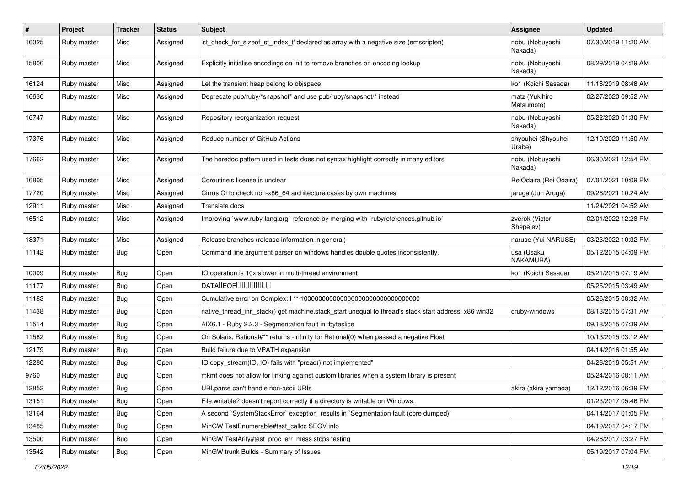| $\vert$ # | Project     | <b>Tracker</b> | <b>Status</b> | <b>Subject</b>                                                                                        | Assignee                     | <b>Updated</b>      |
|-----------|-------------|----------------|---------------|-------------------------------------------------------------------------------------------------------|------------------------------|---------------------|
| 16025     | Ruby master | Misc           | Assigned      | 'st_check_for_sizeof_st_index_t' declared as array with a negative size (emscripten)                  | nobu (Nobuyoshi<br>Nakada)   | 07/30/2019 11:20 AM |
| 15806     | Ruby master | Misc           | Assigned      | Explicitly initialise encodings on init to remove branches on encoding lookup                         | nobu (Nobuyoshi<br>Nakada)   | 08/29/2019 04:29 AM |
| 16124     | Ruby master | Misc           | Assigned      | Let the transient heap belong to objspace                                                             | ko1 (Koichi Sasada)          | 11/18/2019 08:48 AM |
| 16630     | Ruby master | Misc           | Assigned      | Deprecate pub/ruby/*snapshot* and use pub/ruby/snapshot/* instead                                     | matz (Yukihiro<br>Matsumoto) | 02/27/2020 09:52 AM |
| 16747     | Ruby master | Misc           | Assigned      | Repository reorganization request                                                                     | nobu (Nobuyoshi<br>Nakada)   | 05/22/2020 01:30 PM |
| 17376     | Ruby master | Misc           | Assigned      | Reduce number of GitHub Actions                                                                       | shyouhei (Shyouhei<br>Urabe) | 12/10/2020 11:50 AM |
| 17662     | Ruby master | Misc           | Assigned      | The heredoc pattern used in tests does not syntax highlight correctly in many editors                 | nobu (Nobuyoshi<br>Nakada)   | 06/30/2021 12:54 PM |
| 16805     | Ruby master | Misc           | Assigned      | Coroutine's license is unclear                                                                        | ReiOdaira (Rei Odaira)       | 07/01/2021 10:09 PM |
| 17720     | Ruby master | Misc           | Assigned      | Cirrus CI to check non-x86_64 architecture cases by own machines                                      | jaruga (Jun Aruga)           | 09/26/2021 10:24 AM |
| 12911     | Ruby master | Misc           | Assigned      | Translate docs                                                                                        |                              | 11/24/2021 04:52 AM |
| 16512     | Ruby master | Misc           | Assigned      | Improving `www.ruby-lang.org` reference by merging with `rubyreferences.github.io`                    | zverok (Victor<br>Shepelev)  | 02/01/2022 12:28 PM |
| 18371     | Ruby master | Misc           | Assigned      | Release branches (release information in general)                                                     | naruse (Yui NARUSE)          | 03/23/2022 10:32 PM |
| 11142     | Ruby master | Bug            | Open          | Command line argument parser on windows handles double quotes inconsistently.                         | usa (Usaku<br>NAKAMURA)      | 05/12/2015 04:09 PM |
| 10009     | Ruby master | Bug            | Open          | IO operation is 10x slower in multi-thread environment                                                | ko1 (Koichi Sasada)          | 05/21/2015 07:19 AM |
| 11177     | Ruby master | Bug            | Open          | <b>DATALEOFILILILILILI</b>                                                                            |                              | 05/25/2015 03:49 AM |
| 11183     | Ruby master | <b>Bug</b>     | Open          |                                                                                                       |                              | 05/26/2015 08:32 AM |
| 11438     | Ruby master | Bug            | Open          | native_thread_init_stack() get machine.stack_start unequal to thread's stack start address, x86 win32 | cruby-windows                | 08/13/2015 07:31 AM |
| 11514     | Ruby master | <b>Bug</b>     | Open          | AIX6.1 - Ruby 2.2.3 - Segmentation fault in : byteslice                                               |                              | 09/18/2015 07:39 AM |
| 11582     | Ruby master | Bug            | Open          | On Solaris, Rational#** returns -Infinity for Rational(0) when passed a negative Float                |                              | 10/13/2015 03:12 AM |
| 12179     | Ruby master | Bug            | Open          | Build failure due to VPATH expansion                                                                  |                              | 04/14/2016 01:55 AM |
| 12280     | Ruby master | Bug            | Open          | IO.copy_stream(IO, IO) fails with "pread() not implemented"                                           |                              | 04/28/2016 05:51 AM |
| 9760      | Ruby master | <b>Bug</b>     | Open          | mkmf does not allow for linking against custom libraries when a system library is present             |                              | 05/24/2016 08:11 AM |
| 12852     | Ruby master | <b>Bug</b>     | Open          | URI parse can't handle non-ascii URIs                                                                 | akira (akira yamada)         | 12/12/2016 06:39 PM |
| 13151     | Ruby master | Bug            | Open          | File.writable? doesn't report correctly if a directory is writable on Windows.                        |                              | 01/23/2017 05:46 PM |
| 13164     | Ruby master | Bug            | Open          | A second `SystemStackError` exception results in `Segmentation fault (core dumped)`                   |                              | 04/14/2017 01:05 PM |
| 13485     | Ruby master | <b>Bug</b>     | Open          | MinGW TestEnumerable#test_callcc SEGV info                                                            |                              | 04/19/2017 04:17 PM |
| 13500     | Ruby master | Bug            | Open          | MinGW TestArity#test proc err mess stops testing                                                      |                              | 04/26/2017 03:27 PM |
| 13542     | Ruby master | <b>Bug</b>     | Open          | MinGW trunk Builds - Summary of Issues                                                                |                              | 05/19/2017 07:04 PM |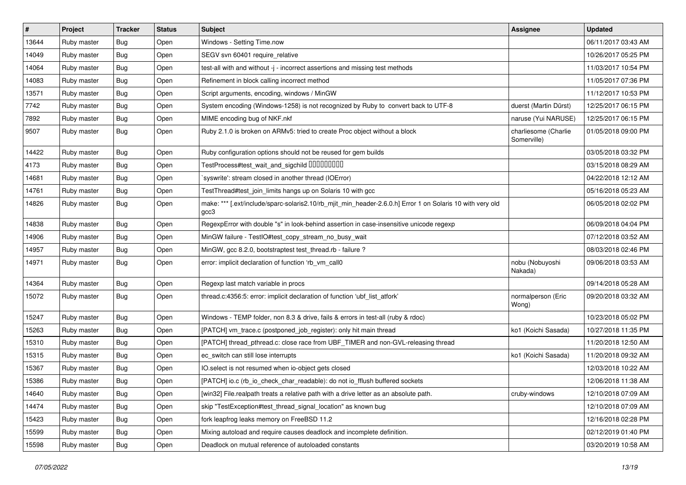| $\vert$ # | Project     | <b>Tracker</b> | <b>Status</b> | <b>Subject</b>                                                                                                    | <b>Assignee</b>                     | <b>Updated</b>      |
|-----------|-------------|----------------|---------------|-------------------------------------------------------------------------------------------------------------------|-------------------------------------|---------------------|
| 13644     | Ruby master | <b>Bug</b>     | Open          | Windows - Setting Time.now                                                                                        |                                     | 06/11/2017 03:43 AM |
| 14049     | Ruby master | <b>Bug</b>     | Open          | SEGV svn 60401 require_relative                                                                                   |                                     | 10/26/2017 05:25 PM |
| 14064     | Ruby master | <b>Bug</b>     | Open          | test-all with and without -j - incorrect assertions and missing test methods                                      |                                     | 11/03/2017 10:54 PM |
| 14083     | Ruby master | Bug            | Open          | Refinement in block calling incorrect method                                                                      |                                     | 11/05/2017 07:36 PM |
| 13571     | Ruby master | <b>Bug</b>     | Open          | Script arguments, encoding, windows / MinGW                                                                       |                                     | 11/12/2017 10:53 PM |
| 7742      | Ruby master | Bug            | Open          | System encoding (Windows-1258) is not recognized by Ruby to convert back to UTF-8                                 | duerst (Martin Dürst)               | 12/25/2017 06:15 PM |
| 7892      | Ruby master | <b>Bug</b>     | Open          | MIME encoding bug of NKF.nkf                                                                                      | naruse (Yui NARUSE)                 | 12/25/2017 06:15 PM |
| 9507      | Ruby master | Bug            | Open          | Ruby 2.1.0 is broken on ARMv5: tried to create Proc object without a block                                        | charliesome (Charlie<br>Somerville) | 01/05/2018 09:00 PM |
| 14422     | Ruby master | <b>Bug</b>     | Open          | Ruby configuration options should not be reused for gem builds                                                    |                                     | 03/05/2018 03:32 PM |
| 4173      | Ruby master | <b>Bug</b>     | Open          | TestProcess#test_wait_and_sigchild DDDDDDDD                                                                       |                                     | 03/15/2018 08:29 AM |
| 14681     | Ruby master | Bug            | Open          | 'syswrite': stream closed in another thread (IOError)                                                             |                                     | 04/22/2018 12:12 AM |
| 14761     | Ruby master | Bug            | Open          | TestThread#test_join_limits hangs up on Solaris 10 with gcc                                                       |                                     | 05/16/2018 05:23 AM |
| 14826     | Ruby master | Bug            | Open          | make: *** [.ext/include/sparc-solaris2.10/rb_mjit_min_header-2.6.0.h] Error 1 on Solaris 10 with very old<br>gcc3 |                                     | 06/05/2018 02:02 PM |
| 14838     | Ruby master | Bug            | Open          | RegexpError with double "s" in look-behind assertion in case-insensitive unicode regexp                           |                                     | 06/09/2018 04:04 PM |
| 14906     | Ruby master | <b>Bug</b>     | Open          | MinGW failure - TestIO#test_copy_stream_no_busy_wait                                                              |                                     | 07/12/2018 03:52 AM |
| 14957     | Ruby master | Bug            | Open          | MinGW, gcc 8.2.0, bootstraptest test_thread.rb - failure ?                                                        |                                     | 08/03/2018 02:46 PM |
| 14971     | Ruby master | Bug            | Open          | error: implicit declaration of function 'rb_vm_call0                                                              | nobu (Nobuyoshi<br>Nakada)          | 09/06/2018 03:53 AM |
| 14364     | Ruby master | <b>Bug</b>     | Open          | Regexp last match variable in procs                                                                               |                                     | 09/14/2018 05:28 AM |
| 15072     | Ruby master | Bug            | Open          | thread.c:4356:5: error: implicit declaration of function 'ubf_list_atfork'                                        | normalperson (Eric<br>Wong)         | 09/20/2018 03:32 AM |
| 15247     | Ruby master | Bug            | Open          | Windows - TEMP folder, non 8.3 & drive, fails & errors in test-all (ruby & rdoc)                                  |                                     | 10/23/2018 05:02 PM |
| 15263     | Ruby master | <b>Bug</b>     | Open          | [PATCH] vm_trace.c (postponed_job_register): only hit main thread                                                 | ko1 (Koichi Sasada)                 | 10/27/2018 11:35 PM |
| 15310     | Ruby master | Bug            | Open          | [PATCH] thread_pthread.c: close race from UBF_TIMER and non-GVL-releasing thread                                  |                                     | 11/20/2018 12:50 AM |
| 15315     | Ruby master | Bug            | Open          | ec_switch can still lose interrupts                                                                               | ko1 (Koichi Sasada)                 | 11/20/2018 09:32 AM |
| 15367     | Ruby master | <b>Bug</b>     | Open          | IO.select is not resumed when io-object gets closed                                                               |                                     | 12/03/2018 10:22 AM |
| 15386     | Ruby master | <b>Bug</b>     | Open          | [PATCH] io.c (rb_io_check_char_readable): do not io_fflush buffered sockets                                       |                                     | 12/06/2018 11:38 AM |
| 14640     | Ruby master | Bug            | Open          | [win32] File.realpath treats a relative path with a drive letter as an absolute path.                             | cruby-windows                       | 12/10/2018 07:09 AM |
| 14474     | Ruby master | <b>Bug</b>     | Open          | skip "TestException#test_thread_signal_location" as known bug                                                     |                                     | 12/10/2018 07:09 AM |
| 15423     | Ruby master | <b>Bug</b>     | Open          | fork leapfrog leaks memory on FreeBSD 11.2                                                                        |                                     | 12/16/2018 02:28 PM |
| 15599     | Ruby master | <b>Bug</b>     | Open          | Mixing autoload and require causes deadlock and incomplete definition.                                            |                                     | 02/12/2019 01:40 PM |
| 15598     | Ruby master | Bug            | Open          | Deadlock on mutual reference of autoloaded constants                                                              |                                     | 03/20/2019 10:58 AM |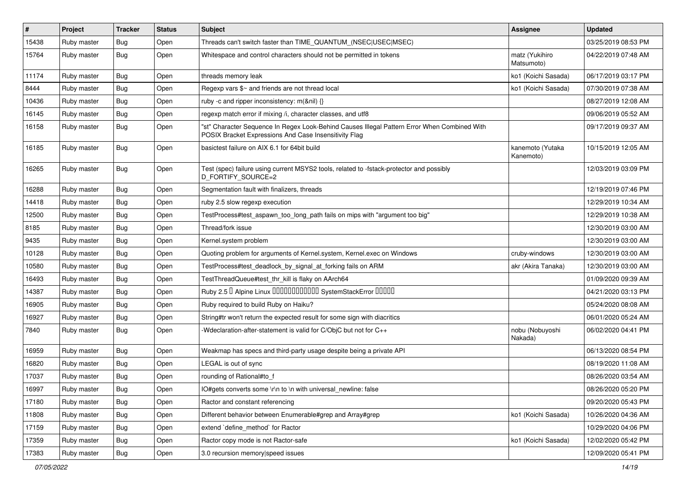| $\vert$ # | Project     | <b>Tracker</b> | <b>Status</b> | <b>Subject</b>                                                                                                                                        | Assignee                      | <b>Updated</b>      |
|-----------|-------------|----------------|---------------|-------------------------------------------------------------------------------------------------------------------------------------------------------|-------------------------------|---------------------|
| 15438     | Ruby master | Bug            | Open          | Threads can't switch faster than TIME QUANTUM (NSEC USEC MSEC)                                                                                        |                               | 03/25/2019 08:53 PM |
| 15764     | Ruby master | Bug            | Open          | Whitespace and control characters should not be permitted in tokens                                                                                   | matz (Yukihiro<br>Matsumoto)  | 04/22/2019 07:48 AM |
| 11174     | Ruby master | Bug            | Open          | threads memory leak                                                                                                                                   | ko1 (Koichi Sasada)           | 06/17/2019 03:17 PM |
| 8444      | Ruby master | Bug            | Open          | Regexp vars \$~ and friends are not thread local                                                                                                      | ko1 (Koichi Sasada)           | 07/30/2019 07:38 AM |
| 10436     | Ruby master | Bug            | Open          | ruby -c and ripper inconsistency: m(&nil) {}                                                                                                          |                               | 08/27/2019 12:08 AM |
| 16145     | Ruby master | Bug            | Open          | regexp match error if mixing /i, character classes, and utf8                                                                                          |                               | 09/06/2019 05:52 AM |
| 16158     | Ruby master | <b>Bug</b>     | Open          | "st" Character Sequence In Regex Look-Behind Causes Illegal Pattern Error When Combined With<br>POSIX Bracket Expressions And Case Insensitivity Flag |                               | 09/17/2019 09:37 AM |
| 16185     | Ruby master | Bug            | Open          | basictest failure on AIX 6.1 for 64bit build                                                                                                          | kanemoto (Yutaka<br>Kanemoto) | 10/15/2019 12:05 AM |
| 16265     | Ruby master | Bug            | Open          | Test (spec) failure using current MSYS2 tools, related to -fstack-protector and possibly<br>D_FORTIFY_SOURCE=2                                        |                               | 12/03/2019 03:09 PM |
| 16288     | Ruby master | Bug            | Open          | Segmentation fault with finalizers, threads                                                                                                           |                               | 12/19/2019 07:46 PM |
| 14418     | Ruby master | Bug            | Open          | ruby 2.5 slow regexp execution                                                                                                                        |                               | 12/29/2019 10:34 AM |
| 12500     | Ruby master | Bug            | Open          | TestProcess#test_aspawn_too_long_path fails on mips with "argument too big"                                                                           |                               | 12/29/2019 10:38 AM |
| 8185      | Ruby master | Bug            | Open          | Thread/fork issue                                                                                                                                     |                               | 12/30/2019 03:00 AM |
| 9435      | Ruby master | Bug            | Open          | Kernel.system problem                                                                                                                                 |                               | 12/30/2019 03:00 AM |
| 10128     | Ruby master | Bug            | Open          | Quoting problem for arguments of Kernel.system, Kernel.exec on Windows                                                                                | cruby-windows                 | 12/30/2019 03:00 AM |
| 10580     | Ruby master | Bug            | Open          | TestProcess#test_deadlock_by_signal_at_forking fails on ARM                                                                                           | akr (Akira Tanaka)            | 12/30/2019 03:00 AM |
| 16493     | Ruby master | Bug            | Open          | TestThreadQueue#test_thr_kill is flaky on AArch64                                                                                                     |                               | 01/09/2020 09:39 AM |
| 14387     | Ruby master | Bug            | Open          | Ruby 2.5 <sup>D</sup> Alpine Linux 000000000000 SystemStackError 00000                                                                                |                               | 04/21/2020 03:13 PM |
| 16905     | Ruby master | Bug            | Open          | Ruby required to build Ruby on Haiku?                                                                                                                 |                               | 05/24/2020 08:08 AM |
| 16927     | Ruby master | Bug            | Open          | String#tr won't return the expected result for some sign with diacritics                                                                              |                               | 06/01/2020 05:24 AM |
| 7840      | Ruby master | Bug            | Open          | -Wdeclaration-after-statement is valid for C/ObjC but not for C++                                                                                     | nobu (Nobuyoshi<br>Nakada)    | 06/02/2020 04:41 PM |
| 16959     | Ruby master | Bug            | Open          | Weakmap has specs and third-party usage despite being a private API                                                                                   |                               | 06/13/2020 08:54 PM |
| 16820     | Ruby master | Bug            | Open          | LEGAL is out of sync                                                                                                                                  |                               | 08/19/2020 11:08 AM |
| 17037     | Ruby master | Bug            | Open          | rounding of Rational#to_f                                                                                                                             |                               | 08/26/2020 03:54 AM |
| 16997     | Ruby master | Bug            | Open          | IO#gets converts some \r\n to \n with universal newline: false                                                                                        |                               | 08/26/2020 05:20 PM |
| 17180     | Ruby master | <b>Bug</b>     | Open          | Ractor and constant referencing                                                                                                                       |                               | 09/20/2020 05:43 PM |
| 11808     | Ruby master | <b>Bug</b>     | Open          | Different behavior between Enumerable#grep and Array#grep                                                                                             | ko1 (Koichi Sasada)           | 10/26/2020 04:36 AM |
| 17159     | Ruby master | Bug            | Open          | extend 'define method' for Ractor                                                                                                                     |                               | 10/29/2020 04:06 PM |
| 17359     | Ruby master | <b>Bug</b>     | Open          | Ractor copy mode is not Ractor-safe                                                                                                                   | ko1 (Koichi Sasada)           | 12/02/2020 05:42 PM |
| 17383     | Ruby master | Bug            | Open          | 3.0 recursion memory speed issues                                                                                                                     |                               | 12/09/2020 05:41 PM |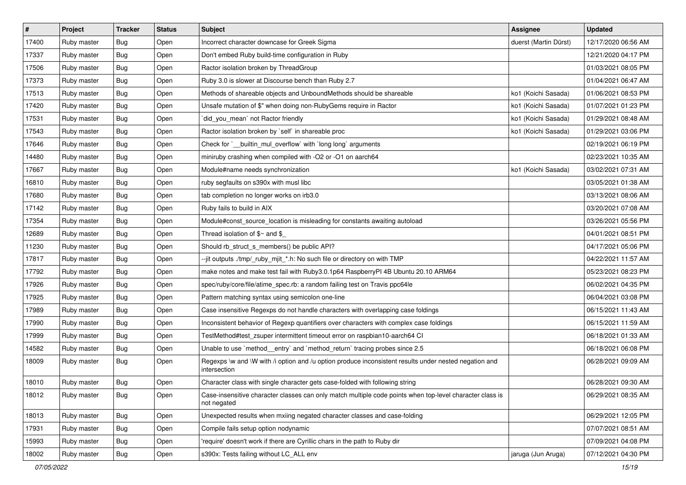| #     | Project     | <b>Tracker</b> | <b>Status</b> | <b>Subject</b>                                                                                                          | <b>Assignee</b>       | <b>Updated</b>      |
|-------|-------------|----------------|---------------|-------------------------------------------------------------------------------------------------------------------------|-----------------------|---------------------|
| 17400 | Ruby master | Bug            | Open          | Incorrect character downcase for Greek Sigma                                                                            | duerst (Martin Dürst) | 12/17/2020 06:56 AM |
| 17337 | Ruby master | Bug            | Open          | Don't embed Ruby build-time configuration in Ruby                                                                       |                       | 12/21/2020 04:17 PM |
| 17506 | Ruby master | Bug            | Open          | Ractor isolation broken by ThreadGroup                                                                                  |                       | 01/03/2021 08:05 PM |
| 17373 | Ruby master | Bug            | Open          | Ruby 3.0 is slower at Discourse bench than Ruby 2.7                                                                     |                       | 01/04/2021 06:47 AM |
| 17513 | Ruby master | Bug            | Open          | Methods of shareable objects and UnboundMethods should be shareable                                                     | ko1 (Koichi Sasada)   | 01/06/2021 08:53 PM |
| 17420 | Ruby master | Bug            | Open          | Unsafe mutation of \$" when doing non-RubyGems require in Ractor                                                        | ko1 (Koichi Sasada)   | 01/07/2021 01:23 PM |
| 17531 | Ruby master | Bug            | Open          | did_you_mean` not Ractor friendly                                                                                       | ko1 (Koichi Sasada)   | 01/29/2021 08:48 AM |
| 17543 | Ruby master | Bug            | Open          | Ractor isolation broken by `self` in shareable proc                                                                     | ko1 (Koichi Sasada)   | 01/29/2021 03:06 PM |
| 17646 | Ruby master | Bug            | Open          | Check for `__builtin_mul_overflow` with `long long` arguments                                                           |                       | 02/19/2021 06:19 PM |
| 14480 | Ruby master | Bug            | Open          | miniruby crashing when compiled with -O2 or -O1 on aarch64                                                              |                       | 02/23/2021 10:35 AM |
| 17667 | Ruby master | Bug            | Open          | Module#name needs synchronization                                                                                       | ko1 (Koichi Sasada)   | 03/02/2021 07:31 AM |
| 16810 | Ruby master | Bug            | Open          | ruby segfaults on s390x with musl libc                                                                                  |                       | 03/05/2021 01:38 AM |
| 17680 | Ruby master | Bug            | Open          | tab completion no longer works on irb3.0                                                                                |                       | 03/13/2021 08:06 AM |
| 17142 | Ruby master | Bug            | Open          | Ruby fails to build in AIX                                                                                              |                       | 03/20/2021 07:08 AM |
| 17354 | Ruby master | Bug            | Open          | Module#const_source_location is misleading for constants awaiting autoload                                              |                       | 03/26/2021 05:56 PM |
| 12689 | Ruby master | Bug            | Open          | Thread isolation of $$~$ and $$$                                                                                        |                       | 04/01/2021 08:51 PM |
| 11230 | Ruby master | <b>Bug</b>     | Open          | Should rb_struct_s_members() be public API?                                                                             |                       | 04/17/2021 05:06 PM |
| 17817 | Ruby master | Bug            | Open          | --jit outputs ./tmp/_ruby_mjit_*.h: No such file or directory on with TMP                                               |                       | 04/22/2021 11:57 AM |
| 17792 | Ruby master | Bug            | Open          | make notes and make test fail with Ruby3.0.1p64 RaspberryPI 4B Ubuntu 20.10 ARM64                                       |                       | 05/23/2021 08:23 PM |
| 17926 | Ruby master | Bug            | Open          | spec/ruby/core/file/atime_spec.rb: a random failing test on Travis ppc64le                                              |                       | 06/02/2021 04:35 PM |
| 17925 | Ruby master | Bug            | Open          | Pattern matching syntax using semicolon one-line                                                                        |                       | 06/04/2021 03:08 PM |
| 17989 | Ruby master | Bug            | Open          | Case insensitive Regexps do not handle characters with overlapping case foldings                                        |                       | 06/15/2021 11:43 AM |
| 17990 | Ruby master | Bug            | Open          | Inconsistent behavior of Regexp quantifiers over characters with complex case foldings                                  |                       | 06/15/2021 11:59 AM |
| 17999 | Ruby master | <b>Bug</b>     | Open          | TestMethod#test_zsuper intermittent timeout error on raspbian10-aarch64 CI                                              |                       | 06/18/2021 01:33 AM |
| 14582 | Ruby master | Bug            | Open          | Unable to use `method_entry` and `method_return` tracing probes since 2.5                                               |                       | 06/18/2021 06:08 PM |
| 18009 | Ruby master | Bug            | Open          | Regexps \w and \W with /i option and /u option produce inconsistent results under nested negation and<br>intersection   |                       | 06/28/2021 09:09 AM |
| 18010 | Ruby master | Bug            | Open          | Character class with single character gets case-folded with following string                                            |                       | 06/28/2021 09:30 AM |
| 18012 | Ruby master | <b>Bug</b>     | Open          | Case-insensitive character classes can only match multiple code points when top-level character class is<br>not negated |                       | 06/29/2021 08:35 AM |
| 18013 | Ruby master | <b>Bug</b>     | Open          | Unexpected results when mxiing negated character classes and case-folding                                               |                       | 06/29/2021 12:05 PM |
| 17931 | Ruby master | Bug            | Open          | Compile fails setup option nodynamic                                                                                    |                       | 07/07/2021 08:51 AM |
| 15993 | Ruby master | <b>Bug</b>     | Open          | 'require' doesn't work if there are Cyrillic chars in the path to Ruby dir                                              |                       | 07/09/2021 04:08 PM |
| 18002 | Ruby master | <b>Bug</b>     | Open          | s390x: Tests failing without LC_ALL env                                                                                 | jaruga (Jun Aruga)    | 07/12/2021 04:30 PM |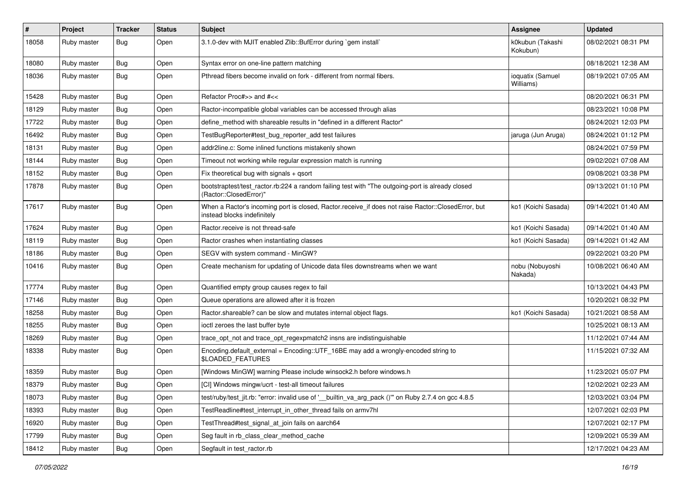| $\pmb{\#}$ | Project     | <b>Tracker</b> | <b>Status</b> | <b>Subject</b>                                                                                                                    | <b>Assignee</b>               | <b>Updated</b>      |
|------------|-------------|----------------|---------------|-----------------------------------------------------------------------------------------------------------------------------------|-------------------------------|---------------------|
| 18058      | Ruby master | Bug            | Open          | 3.1.0-dev with MJIT enabled Zlib::BufError during `gem install`                                                                   | k0kubun (Takashi<br>Kokubun)  | 08/02/2021 08:31 PM |
| 18080      | Ruby master | Bug            | Open          | Syntax error on one-line pattern matching                                                                                         |                               | 08/18/2021 12:38 AM |
| 18036      | Ruby master | Bug            | Open          | Pthread fibers become invalid on fork - different from normal fibers.                                                             | ioquatix (Samuel<br>Williams) | 08/19/2021 07:05 AM |
| 15428      | Ruby master | Bug            | Open          | Refactor Proc#>> and #<<                                                                                                          |                               | 08/20/2021 06:31 PM |
| 18129      | Ruby master | Bug            | Open          | Ractor-incompatible global variables can be accessed through alias                                                                |                               | 08/23/2021 10:08 PM |
| 17722      | Ruby master | Bug            | Open          | define_method with shareable results in "defined in a different Ractor"                                                           |                               | 08/24/2021 12:03 PM |
| 16492      | Ruby master | Bug            | Open          | TestBugReporter#test_bug_reporter_add test failures                                                                               | jaruga (Jun Aruga)            | 08/24/2021 01:12 PM |
| 18131      | Ruby master | Bug            | Open          | addr2line.c: Some inlined functions mistakenly shown                                                                              |                               | 08/24/2021 07:59 PM |
| 18144      | Ruby master | Bug            | Open          | Timeout not working while regular expression match is running                                                                     |                               | 09/02/2021 07:08 AM |
| 18152      | Ruby master | Bug            | Open          | Fix theoretical bug with signals + qsort                                                                                          |                               | 09/08/2021 03:38 PM |
| 17878      | Ruby master | Bug            | Open          | bootstraptest/test_ractor.rb:224 a random failing test with "The outgoing-port is already closed<br>(Ractor::ClosedError)"        |                               | 09/13/2021 01:10 PM |
| 17617      | Ruby master | Bug            | Open          | When a Ractor's incoming port is closed, Ractor.receive_if does not raise Ractor::ClosedError, but<br>instead blocks indefinitely | ko1 (Koichi Sasada)           | 09/14/2021 01:40 AM |
| 17624      | Ruby master | Bug            | Open          | Ractor, receive is not thread-safe                                                                                                | ko1 (Koichi Sasada)           | 09/14/2021 01:40 AM |
| 18119      | Ruby master | Bug            | Open          | Ractor crashes when instantiating classes                                                                                         | ko1 (Koichi Sasada)           | 09/14/2021 01:42 AM |
| 18186      | Ruby master | Bug            | Open          | SEGV with system command - MinGW?                                                                                                 |                               | 09/22/2021 03:20 PM |
| 10416      | Ruby master | Bug            | Open          | Create mechanism for updating of Unicode data files downstreams when we want                                                      | nobu (Nobuyoshi<br>Nakada)    | 10/08/2021 06:40 AM |
| 17774      | Ruby master | Bug            | Open          | Quantified empty group causes regex to fail                                                                                       |                               | 10/13/2021 04:43 PM |
| 17146      | Ruby master | Bug            | Open          | Queue operations are allowed after it is frozen                                                                                   |                               | 10/20/2021 08:32 PM |
| 18258      | Ruby master | Bug            | Open          | Ractor shareable? can be slow and mutates internal object flags.                                                                  | ko1 (Koichi Sasada)           | 10/21/2021 08:58 AM |
| 18255      | Ruby master | Bug            | Open          | ioctl zeroes the last buffer byte                                                                                                 |                               | 10/25/2021 08:13 AM |
| 18269      | Ruby master | Bug            | Open          | trace_opt_not and trace_opt_regexpmatch2 insns are indistinguishable                                                              |                               | 11/12/2021 07:44 AM |
| 18338      | Ruby master | Bug            | Open          | Encoding.default_external = Encoding::UTF_16BE may add a wrongly-encoded string to<br>\$LOADED_FEATURES                           |                               | 11/15/2021 07:32 AM |
| 18359      | Ruby master | Bug            | Open          | [Windows MinGW] warning Please include winsock2.h before windows.h                                                                |                               | 11/23/2021 05:07 PM |
| 18379      | Ruby master | Bug            | Open          | [CI] Windows mingw/ucrt - test-all timeout failures                                                                               |                               | 12/02/2021 02:23 AM |
| 18073      | Ruby master | Bug            | Open          | test/ruby/test_jit.rb: "error: invalid use of '_builtin_va_arg_pack ()"" on Ruby 2.7.4 on gcc 4.8.5                               |                               | 12/03/2021 03:04 PM |
| 18393      | Ruby master | <b>Bug</b>     | Open          | TestReadline#test_interrupt_in_other_thread fails on armv7hl                                                                      |                               | 12/07/2021 02:03 PM |
| 16920      | Ruby master | <b>Bug</b>     | Open          | TestThread#test_signal_at_join fails on aarch64                                                                                   |                               | 12/07/2021 02:17 PM |
| 17799      | Ruby master | <b>Bug</b>     | Open          | Seg fault in rb_class_clear_method_cache                                                                                          |                               | 12/09/2021 05:39 AM |
| 18412      | Ruby master | <b>Bug</b>     | Open          | Segfault in test_ractor.rb                                                                                                        |                               | 12/17/2021 04:23 AM |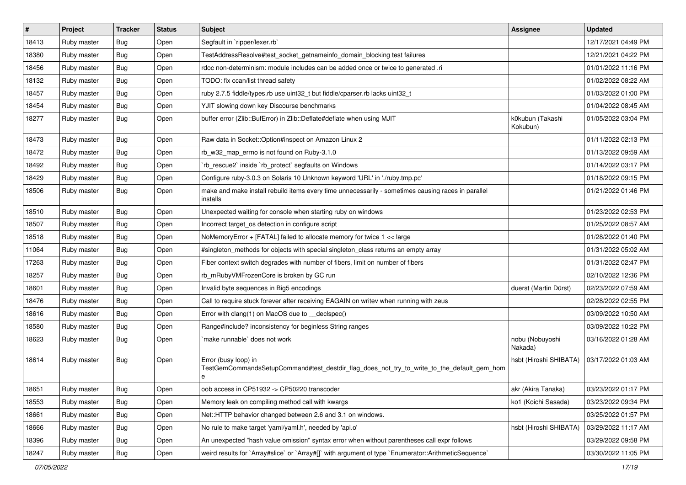| $\vert$ # | Project     | <b>Tracker</b> | <b>Status</b> | <b>Subject</b>                                                                                                          | <b>Assignee</b>              | <b>Updated</b>      |
|-----------|-------------|----------------|---------------|-------------------------------------------------------------------------------------------------------------------------|------------------------------|---------------------|
| 18413     | Ruby master | Bug            | Open          | Segfault in `ripper/lexer.rb`                                                                                           |                              | 12/17/2021 04:49 PM |
| 18380     | Ruby master | Bug            | Open          | TestAddressResolve#test_socket_getnameinfo_domain_blocking test failures                                                |                              | 12/21/2021 04:22 PM |
| 18456     | Ruby master | Bug            | Open          | rdoc non-determinism: module includes can be added once or twice to generated .ri                                       |                              | 01/01/2022 11:16 PM |
| 18132     | Ruby master | Bug            | Open          | TODO: fix ccan/list thread safety                                                                                       |                              | 01/02/2022 08:22 AM |
| 18457     | Ruby master | Bug            | Open          | ruby 2.7.5 fiddle/types.rb use uint32_t but fiddle/cparser.rb lacks uint32_t                                            |                              | 01/03/2022 01:00 PM |
| 18454     | Ruby master | Bug            | Open          | YJIT slowing down key Discourse benchmarks                                                                              |                              | 01/04/2022 08:45 AM |
| 18277     | Ruby master | Bug            | Open          | buffer error (Zlib::BufError) in Zlib::Deflate#deflate when using MJIT                                                  | k0kubun (Takashi<br>Kokubun) | 01/05/2022 03:04 PM |
| 18473     | Ruby master | Bug            | Open          | Raw data in Socket:: Option#inspect on Amazon Linux 2                                                                   |                              | 01/11/2022 02:13 PM |
| 18472     | Ruby master | Bug            | Open          | rb_w32_map_errno is not found on Ruby-3.1.0                                                                             |                              | 01/13/2022 09:59 AM |
| 18492     | Ruby master | Bug            | Open          | `rb_rescue2` inside `rb_protect` segfaults on Windows                                                                   |                              | 01/14/2022 03:17 PM |
| 18429     | Ruby master | Bug            | Open          | Configure ruby-3.0.3 on Solaris 10 Unknown keyword 'URL' in './ruby.tmp.pc'                                             |                              | 01/18/2022 09:15 PM |
| 18506     | Ruby master | Bug            | Open          | make and make install rebuild items every time unnecessarily - sometimes causing races in parallel<br>installs          |                              | 01/21/2022 01:46 PM |
| 18510     | Ruby master | Bug            | Open          | Unexpected waiting for console when starting ruby on windows                                                            |                              | 01/23/2022 02:53 PM |
| 18507     | Ruby master | Bug            | Open          | Incorrect target_os detection in configure script                                                                       |                              | 01/25/2022 08:57 AM |
| 18518     | Ruby master | Bug            | Open          | NoMemoryError + [FATAL] failed to allocate memory for twice 1 << large                                                  |                              | 01/28/2022 01:40 PM |
| 11064     | Ruby master | Bug            | Open          | #singleton_methods for objects with special singleton_class returns an empty array                                      |                              | 01/31/2022 05:02 AM |
| 17263     | Ruby master | Bug            | Open          | Fiber context switch degrades with number of fibers, limit on number of fibers                                          |                              | 01/31/2022 02:47 PM |
| 18257     | Ruby master | Bug            | Open          | rb_mRubyVMFrozenCore is broken by GC run                                                                                |                              | 02/10/2022 12:36 PM |
| 18601     | Ruby master | Bug            | Open          | Invalid byte sequences in Big5 encodings                                                                                | duerst (Martin Dürst)        | 02/23/2022 07:59 AM |
| 18476     | Ruby master | Bug            | Open          | Call to require stuck forever after receiving EAGAIN on writev when running with zeus                                   |                              | 02/28/2022 02:55 PM |
| 18616     | Ruby master | Bug            | Open          | Error with clang(1) on MacOS due to _declspec()                                                                         |                              | 03/09/2022 10:50 AM |
| 18580     | Ruby master | Bug            | Open          | Range#include? inconsistency for beginless String ranges                                                                |                              | 03/09/2022 10:22 PM |
| 18623     | Ruby master | Bug            | Open          | make runnable' does not work                                                                                            | nobu (Nobuyoshi<br>Nakada)   | 03/16/2022 01:28 AM |
| 18614     | Ruby master | Bug            | Open          | Error (busy loop) in<br>TestGemCommandsSetupCommand#test_destdir_flag_does_not_try_to_write_to_the_default_gem_hom<br>e | hsbt (Hiroshi SHIBATA)       | 03/17/2022 01:03 AM |
| 18651     | Ruby master | Bug            | Open          | oob access in CP51932 -> CP50220 transcoder                                                                             | akr (Akira Tanaka)           | 03/23/2022 01:17 PM |
| 18553     | Ruby master | <b>Bug</b>     | Open          | Memory leak on compiling method call with kwargs                                                                        | ko1 (Koichi Sasada)          | 03/23/2022 09:34 PM |
| 18661     | Ruby master | <b>Bug</b>     | Open          | Net::HTTP behavior changed between 2.6 and 3.1 on windows.                                                              |                              | 03/25/2022 01:57 PM |
| 18666     | Ruby master | <b>Bug</b>     | Open          | No rule to make target 'yaml/yaml.h', needed by 'api.o'                                                                 | hsbt (Hiroshi SHIBATA)       | 03/29/2022 11:17 AM |
| 18396     | Ruby master | <b>Bug</b>     | Open          | An unexpected "hash value omission" syntax error when without parentheses call expr follows                             |                              | 03/29/2022 09:58 PM |
| 18247     | Ruby master | Bug            | Open          | weird results for `Array#slice` or `Array#[]` with argument of type `Enumerator::ArithmeticSequence`                    |                              | 03/30/2022 11:05 PM |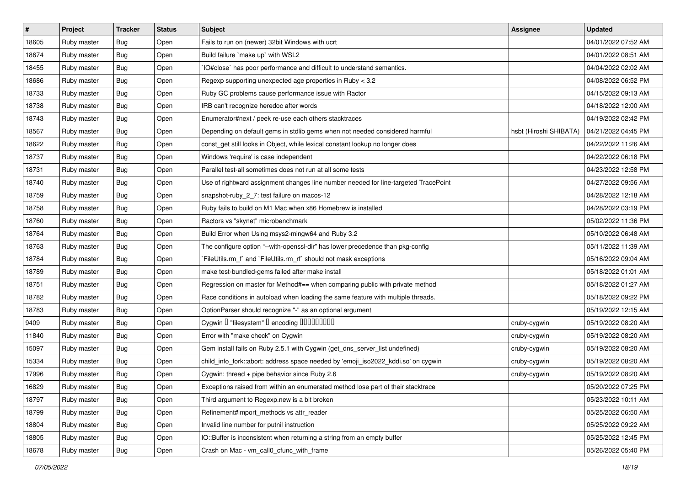| $\sharp$ | Project     | <b>Tracker</b> | <b>Status</b> | <b>Subject</b>                                                                      | Assignee               | <b>Updated</b>      |
|----------|-------------|----------------|---------------|-------------------------------------------------------------------------------------|------------------------|---------------------|
| 18605    | Ruby master | Bug            | Open          | Fails to run on (newer) 32bit Windows with ucrt                                     |                        | 04/01/2022 07:52 AM |
| 18674    | Ruby master | Bug            | Open          | Build failure `make up` with WSL2                                                   |                        | 04/01/2022 08:51 AM |
| 18455    | Ruby master | Bug            | Open          | IO#close` has poor performance and difficult to understand semantics.               |                        | 04/04/2022 02:02 AM |
| 18686    | Ruby master | Bug            | Open          | Regexp supporting unexpected age properties in Ruby < 3.2                           |                        | 04/08/2022 06:52 PM |
| 18733    | Ruby master | Bug            | Open          | Ruby GC problems cause performance issue with Ractor                                |                        | 04/15/2022 09:13 AM |
| 18738    | Ruby master | Bug            | Open          | IRB can't recognize heredoc after words                                             |                        | 04/18/2022 12:00 AM |
| 18743    | Ruby master | Bug            | Open          | Enumerator#next / peek re-use each others stacktraces                               |                        | 04/19/2022 02:42 PM |
| 18567    | Ruby master | <b>Bug</b>     | Open          | Depending on default gems in stdlib gems when not needed considered harmful         | hsbt (Hiroshi SHIBATA) | 04/21/2022 04:45 PM |
| 18622    | Ruby master | Bug            | Open          | const_get still looks in Object, while lexical constant lookup no longer does       |                        | 04/22/2022 11:26 AM |
| 18737    | Ruby master | Bug            | Open          | Windows 'require' is case independent                                               |                        | 04/22/2022 06:18 PM |
| 18731    | Ruby master | Bug            | Open          | Parallel test-all sometimes does not run at all some tests                          |                        | 04/23/2022 12:58 PM |
| 18740    | Ruby master | Bug            | Open          | Use of rightward assignment changes line number needed for line-targeted TracePoint |                        | 04/27/2022 09:56 AM |
| 18759    | Ruby master | Bug            | Open          | snapshot-ruby_2_7: test failure on macos-12                                         |                        | 04/28/2022 12:18 AM |
| 18758    | Ruby master | Bug            | Open          | Ruby fails to build on M1 Mac when x86 Homebrew is installed                        |                        | 04/28/2022 03:19 PM |
| 18760    | Ruby master | Bug            | Open          | Ractors vs "skynet" microbenchmark                                                  |                        | 05/02/2022 11:36 PM |
| 18764    | Ruby master | Bug            | Open          | Build Error when Using msys2-mingw64 and Ruby 3.2                                   |                        | 05/10/2022 06:48 AM |
| 18763    | Ruby master | Bug            | Open          | The configure option "--with-openssl-dir" has lower precedence than pkg-config      |                        | 05/11/2022 11:39 AM |
| 18784    | Ruby master | Bug            | Open          | `FileUtils.rm_f` and `FileUtils.rm_rf` should not mask exceptions                   |                        | 05/16/2022 09:04 AM |
| 18789    | Ruby master | Bug            | Open          | make test-bundled-gems failed after make install                                    |                        | 05/18/2022 01:01 AM |
| 18751    | Ruby master | Bug            | Open          | Regression on master for Method#== when comparing public with private method        |                        | 05/18/2022 01:27 AM |
| 18782    | Ruby master | <b>Bug</b>     | Open          | Race conditions in autoload when loading the same feature with multiple threads.    |                        | 05/18/2022 09:22 PM |
| 18783    | Ruby master | Bug            | Open          | OptionParser should recognize "-" as an optional argument                           |                        | 05/19/2022 12:15 AM |
| 9409     | Ruby master | Bug            | Open          | Cygwin I "filesystem" I encoding IIIIIIIIIIIII                                      | cruby-cygwin           | 05/19/2022 08:20 AM |
| 11840    | Ruby master | Bug            | Open          | Error with "make check" on Cygwin                                                   | cruby-cygwin           | 05/19/2022 08:20 AM |
| 15097    | Ruby master | Bug            | Open          | Gem install fails on Ruby 2.5.1 with Cygwin (get_dns_server_list undefined)         | cruby-cygwin           | 05/19/2022 08:20 AM |
| 15334    | Ruby master | Bug            | Open          | child_info_fork::abort: address space needed by 'emoji_iso2022_kddi.so' on cygwin   | cruby-cygwin           | 05/19/2022 08:20 AM |
| 17996    | Ruby master | Bug            | Open          | Cygwin: thread + pipe behavior since Ruby 2.6                                       | cruby-cygwin           | 05/19/2022 08:20 AM |
| 16829    | Ruby master | <b>Bug</b>     | Open          | Exceptions raised from within an enumerated method lose part of their stacktrace    |                        | 05/20/2022 07:25 PM |
| 18797    | Ruby master | Bug            | Open          | Third argument to Regexp.new is a bit broken                                        |                        | 05/23/2022 10:11 AM |
| 18799    | Ruby master | <b>Bug</b>     | Open          | Refinement#import_methods vs attr_reader                                            |                        | 05/25/2022 06:50 AM |
| 18804    | Ruby master | <b>Bug</b>     | Open          | Invalid line number for putnil instruction                                          |                        | 05/25/2022 09:22 AM |
| 18805    | Ruby master | Bug            | Open          | IO::Buffer is inconsistent when returning a string from an empty buffer             |                        | 05/25/2022 12:45 PM |
| 18678    | Ruby master | <b>Bug</b>     | Open          | Crash on Mac - vm_call0_cfunc_with_frame                                            |                        | 05/26/2022 05:40 PM |